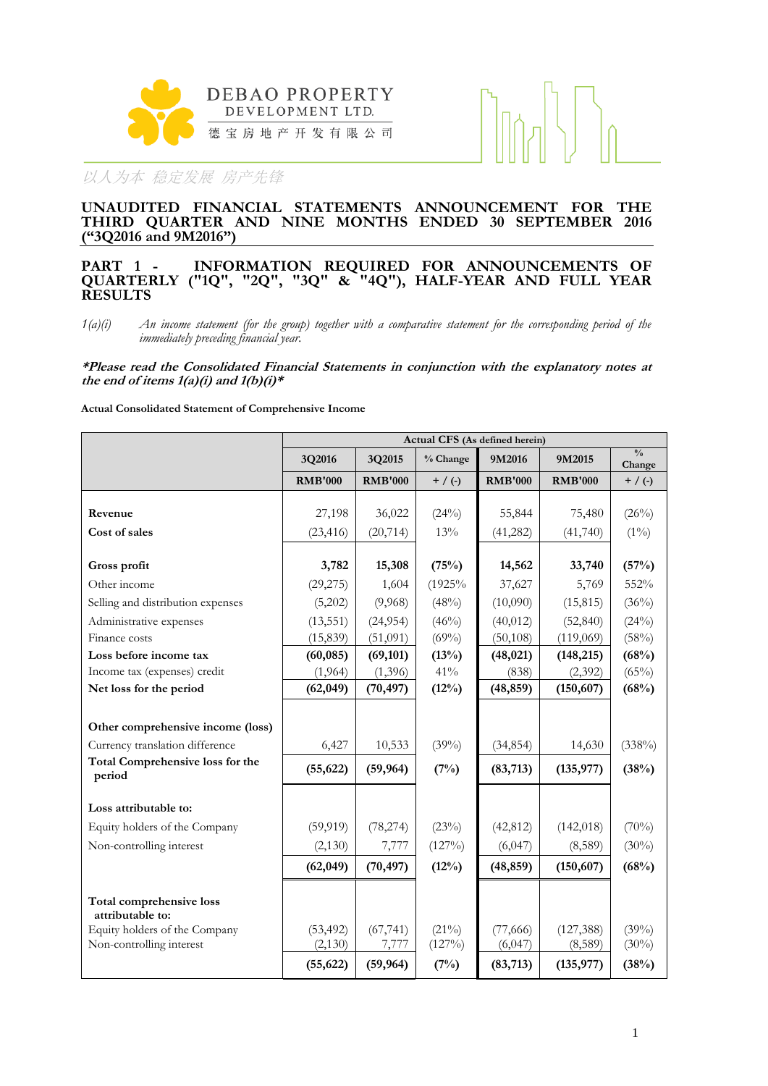



### **UNAUDITED FINANCIAL STATEMENTS ANNOUNCEMENT FOR THE THIRD QUARTER AND NINE MONTHS ENDED 30 SEPTEMBER 2016 ("3Q2016 and 9M2016")**

### **PART 1 - INFORMATION REQUIRED FOR ANNOUNCEMENTS OF QUARTERLY ("1Q", "2Q", "3Q" & "4Q"), HALF-YEAR AND FULL YEAR RESULTS**

*1(a)(i) An income statement (for the group) together with a comparative statement for the corresponding period of the immediately preceding financial year.*

**\*Please read the Consolidated Financial Statements in conjunction with the explanatory notes at**  the end of items  $1(a)(i)$  and  $1(b)(i)*$ 

**Actual Consolidated Statement of Comprehensive Income**

|                                              | Actual CFS (As defined herein) |                |           |                |                |                         |  |  |
|----------------------------------------------|--------------------------------|----------------|-----------|----------------|----------------|-------------------------|--|--|
|                                              | 3Q2016                         | 3Q2015         | % Change  | 9M2016         | 9M2015         | $\frac{0}{0}$<br>Change |  |  |
|                                              | <b>RMB'000</b>                 | <b>RMB'000</b> | $+$ / (-) | <b>RMB'000</b> | <b>RMB'000</b> | $+$ / (-)               |  |  |
|                                              |                                |                |           |                |                |                         |  |  |
| Revenue                                      | 27,198                         | 36,022         | (24%)     | 55,844         | 75,480         | (26%)                   |  |  |
| Cost of sales                                | (23, 416)                      | (20, 714)      | 13%       | (41, 282)      | (41,740)       | $(1\%)$                 |  |  |
| Gross profit                                 | 3,782                          | 15,308         | (75%)     | 14,562         | 33,740         | (57%)                   |  |  |
| Other income                                 | (29, 275)                      | 1,604          | (1925%    | 37,627         | 5,769          | 552%                    |  |  |
| Selling and distribution expenses            | (5,202)                        | (9,968)        | (48%)     | (10,090)       | (15, 815)      | (36%)                   |  |  |
| Administrative expenses                      | (13, 551)                      | (24, 954)      | (46%)     | (40, 012)      | (52, 840)      | (24%)                   |  |  |
| Finance costs                                | (15, 839)                      | (51,091)       | (69%)     | (50, 108)      | (119,069)      | (58%)                   |  |  |
| Loss before income tax                       | (60, 085)                      | (69, 101)      | (13%)     | (48, 021)      | (148, 215)     | (68%)                   |  |  |
| Income tax (expenses) credit                 | (1,964)                        | (1,396)        | $41\%$    | (838)          | (2,392)        | (65%)                   |  |  |
| Net loss for the period                      | (62, 049)                      | (70, 497)      | (12%)     | (48, 859)      | (150, 607)     | (68%)                   |  |  |
| Other comprehensive income (loss)            |                                |                |           |                |                |                         |  |  |
| Currency translation difference              | 6,427                          | 10,533         | (39%)     | (34, 854)      | 14,630         | (338%)                  |  |  |
| <b>Total Comprehensive loss for the</b>      | (55, 622)                      | (59, 964)      | (7%)      | (83,713)       | (135, 977)     | (38%)                   |  |  |
| period                                       |                                |                |           |                |                |                         |  |  |
| Loss attributable to:                        |                                |                |           |                |                |                         |  |  |
| Equity holders of the Company                | (59, 919)                      | (78, 274)      | (23%)     | (42, 812)      | (142, 018)     | $(70\%)$                |  |  |
| Non-controlling interest                     | (2,130)                        | 7,777          | (127%)    | (6,047)        | (8,589)        | $(30\%)$                |  |  |
|                                              | (62, 049)                      | (70, 497)      | $(12\%)$  | (48, 859)      | (150, 607)     | (68%)                   |  |  |
| Total comprehensive loss<br>attributable to: |                                |                |           |                |                |                         |  |  |
| Equity holders of the Company                | (53, 492)                      | (67, 741)      | $(21\%)$  | (77,666)       | (127, 388)     | (39%)                   |  |  |
| Non-controlling interest                     | (2, 130)                       | 7,777          | (127%)    | (6,047)        | (8,589)        | $(30\%)$                |  |  |
|                                              | (55, 622)                      | (59, 964)      | (7%)      | (83,713)       | (135, 977)     | (38%)                   |  |  |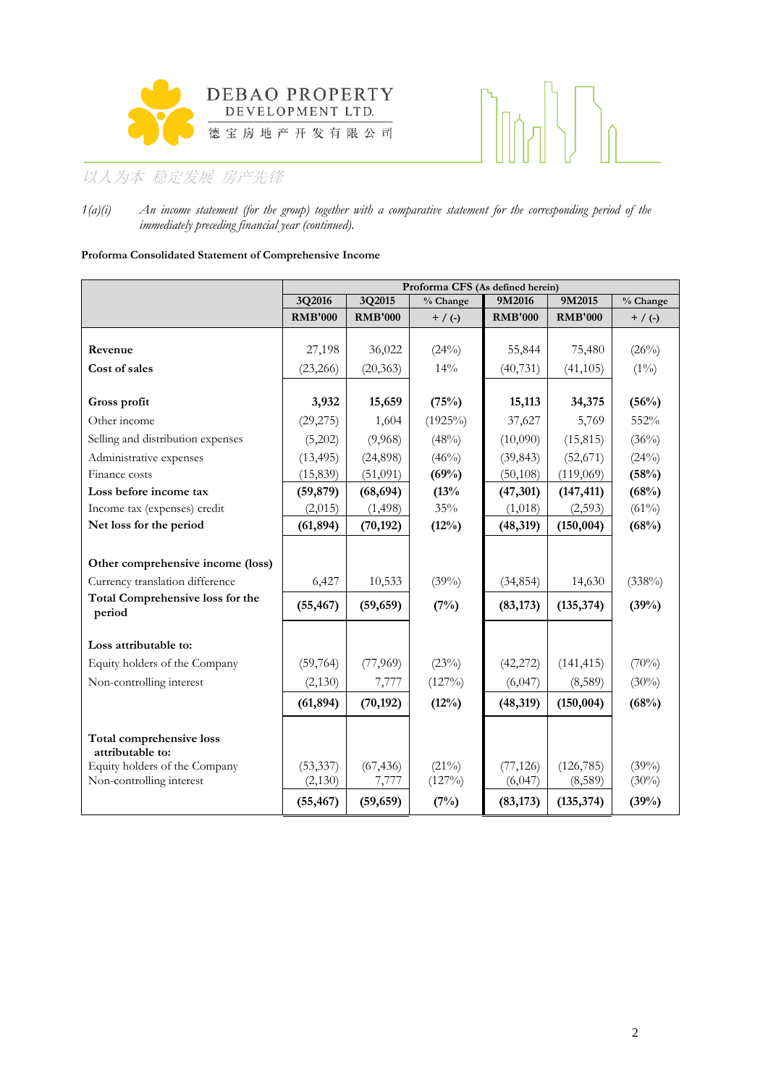



*1(a)(i) An income statement (for the group) together with a comparative statement for the corresponding period of the immediately preceding financial year (continued).*

### **Proforma Consolidated Statement of Comprehensive Income**

|                                                     | Proforma CFS (As defined herein) |                       |                   |                      |                        |                   |  |  |
|-----------------------------------------------------|----------------------------------|-----------------------|-------------------|----------------------|------------------------|-------------------|--|--|
|                                                     | 3Q2016                           | 3Q2015                | % Change          | 9M2016               | 9M2015                 | % Change          |  |  |
|                                                     | <b>RMB'000</b>                   | <b>RMB'000</b>        | $+$ / (-)         | <b>RMB'000</b>       | <b>RMB'000</b>         | $+$ / (-)         |  |  |
|                                                     |                                  |                       |                   |                      |                        |                   |  |  |
| Revenue                                             | 27,198                           | 36,022                | (24%)             | 55,844               | 75,480                 | (26%)             |  |  |
| Cost of sales                                       | (23, 266)                        | (20, 363)             | 14%               | (40, 731)            | (41, 105)              | $(1\%)$           |  |  |
| Gross profit                                        | 3,932                            | 15,659                | (75%)             | 15,113               | 34,375                 | (56%)             |  |  |
| Other income                                        | (29, 275)                        | 1,604                 | $(1925\%)$        | 37,627               | 5,769                  | 552%              |  |  |
| Selling and distribution expenses                   | (5,202)                          | (9,968)               | (48%)             | (10,090)             | (15, 815)              | (36%)             |  |  |
|                                                     |                                  |                       |                   |                      |                        |                   |  |  |
| Administrative expenses<br>Finance costs            | (13, 495)<br>(15, 839)           | (24,898)<br>(51,091)  | $(46\%)$<br>(69%) | (39, 843)            | (52, 671)<br>(119,069) | (24%)<br>(58%)    |  |  |
| Loss before income tax                              |                                  |                       |                   | (50, 108)            |                        |                   |  |  |
| Income tax (expenses) credit                        | (59, 879)<br>(2,015)             | (68, 694)<br>(1, 498) | (13%<br>35%       | (47, 301)<br>(1,018) | (147, 411)<br>(2,593)  | (68%)<br>$(61\%)$ |  |  |
| Net loss for the period                             | (61, 894)                        | (70, 192)             | (12%)             | (48, 319)            | (150, 004)             | (68%)             |  |  |
|                                                     |                                  |                       |                   |                      |                        |                   |  |  |
| Other comprehensive income (loss)                   |                                  |                       |                   |                      |                        |                   |  |  |
| Currency translation difference                     | 6,427                            | 10,533                | (39%)             | (34, 854)            | 14,630                 | (338%)            |  |  |
| <b>Total Comprehensive loss for the</b><br>period   | (55, 467)                        | (59, 659)             | (7%)              | (83, 173)            | (135, 374)             | (39%)             |  |  |
|                                                     |                                  |                       |                   |                      |                        |                   |  |  |
| Loss attributable to:                               |                                  |                       |                   |                      |                        |                   |  |  |
| Equity holders of the Company                       | (59,764)                         | (77,969)              | (23%)             | (42, 272)            | (141, 415)             | (70%)             |  |  |
| Non-controlling interest                            | (2,130)                          | 7,777                 | (127%)            | (6,047)              | (8,589)                | $(30\%)$          |  |  |
|                                                     | (61, 894)                        | (70, 192)             | (12%)             | (48, 319)            | (150, 004)             | (68%)             |  |  |
| <b>Total comprehensive loss</b><br>attributable to: |                                  |                       |                   |                      |                        |                   |  |  |
| Equity holders of the Company                       | (53, 337)                        | (67, 436)             | $(21\%)$          | (77, 126)            | (126, 785)             | $(39\%)$          |  |  |
| Non-controlling interest                            | (2, 130)                         | 7,777                 | (127%)            | (6,047)              | (8,589)                | $(30\%)$          |  |  |
|                                                     | (55, 467)                        | (59, 659)             | (7%)              | (83, 173)            | (135, 374)             | (39%)             |  |  |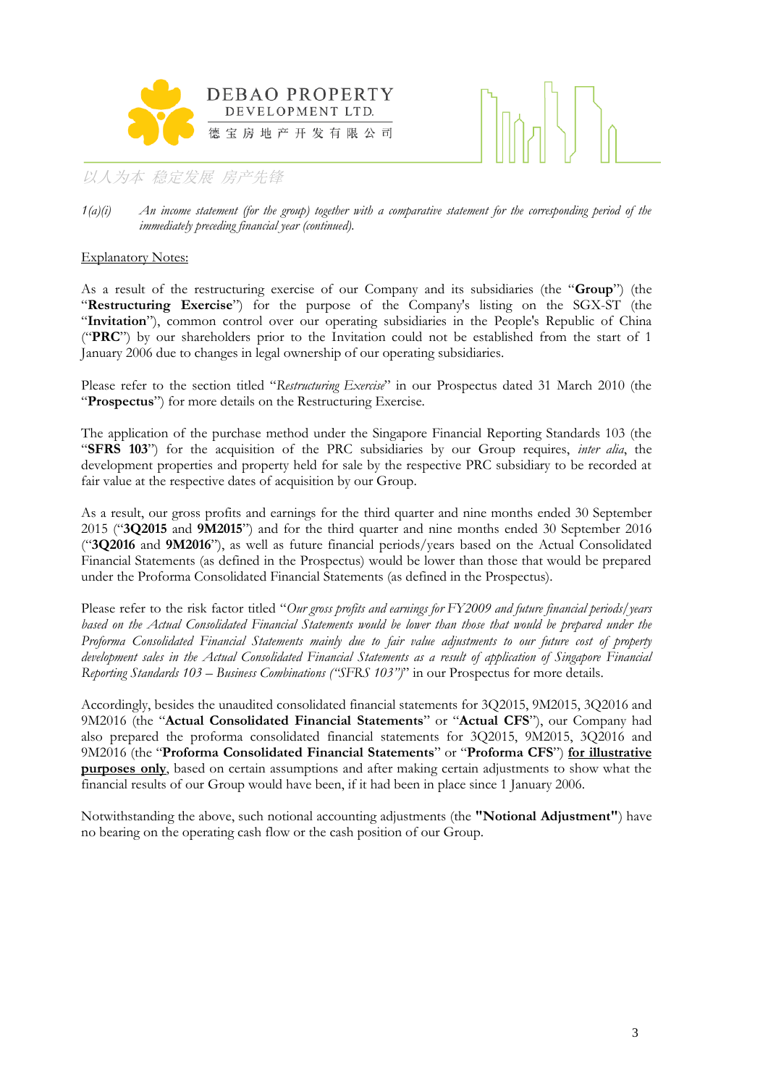



### Explanatory Notes:

As a result of the restructuring exercise of our Company and its subsidiaries (the "**Group**") (the "**Restructuring Exercise**") for the purpose of the Company's listing on the SGX-ST (the "**Invitation**"), common control over our operating subsidiaries in the People's Republic of China ("**PRC**") by our shareholders prior to the Invitation could not be established from the start of 1 January 2006 due to changes in legal ownership of our operating subsidiaries.

Please refer to the section titled "*Restructuring Exercise*" in our Prospectus dated 31 March 2010 (the "**Prospectus**") for more details on the Restructuring Exercise.

The application of the purchase method under the Singapore Financial Reporting Standards 103 (the "**SFRS 103**") for the acquisition of the PRC subsidiaries by our Group requires, *inter alia*, the development properties and property held for sale by the respective PRC subsidiary to be recorded at fair value at the respective dates of acquisition by our Group.

As a result, our gross profits and earnings for the third quarter and nine months ended 30 September 2015 ("**3Q2015** and **9M2015**") and for the third quarter and nine months ended 30 September 2016 ("**3Q2016** and **9M2016**"), as well as future financial periods/years based on the Actual Consolidated Financial Statements (as defined in the Prospectus) would be lower than those that would be prepared under the Proforma Consolidated Financial Statements (as defined in the Prospectus).

Please refer to the risk factor titled "*Our gross profits and earnings for FY2009 and future financial periods/years*  based on the Actual Consolidated Financial Statements would be lower than those that would be prepared under the *Proforma Consolidated Financial Statements mainly due to fair value adjustments to our future cost of property development sales in the Actual Consolidated Financial Statements as a result of application of Singapore Financial Reporting Standards 103 – Business Combinations ("SFRS 103")*" in our Prospectus for more details.

Accordingly, besides the unaudited consolidated financial statements for 3Q2015, 9M2015, 3Q2016 and 9M2016 (the "**Actual Consolidated Financial Statements**" or "**Actual CFS**"), our Company had also prepared the proforma consolidated financial statements for 3Q2015, 9M2015, 3Q2016 and 9M2016 (the "**Proforma Consolidated Financial Statements**" or "**Proforma CFS**") **for illustrative purposes only**, based on certain assumptions and after making certain adjustments to show what the financial results of our Group would have been, if it had been in place since 1 January 2006.

Notwithstanding the above, such notional accounting adjustments (the **"Notional Adjustment"**) have no bearing on the operating cash flow or the cash position of our Group.

*<sup>1(</sup>a)(i) An income statement (for the group) together with a comparative statement for the corresponding period of the immediately preceding financial year (continued).*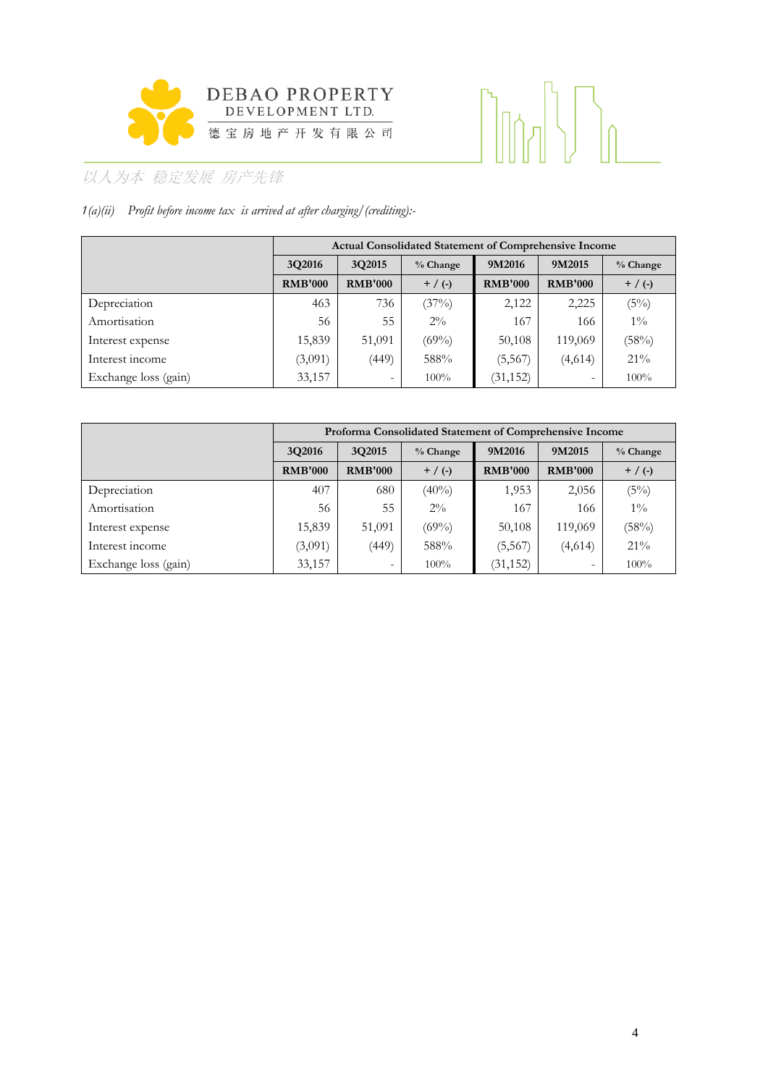

# 

# 以人为本 稳定发展 房产先锋

# *1(a)(ii) Profit before income tax is arrived at after charging/(crediting):-*

|                      |                | Actual Consolidated Statement of Comprehensive Income |            |                |                |            |  |  |  |  |
|----------------------|----------------|-------------------------------------------------------|------------|----------------|----------------|------------|--|--|--|--|
|                      | 3Q2016         | 3Q2015                                                | $%$ Change | 9M2016         | 9M2015         | $%$ Change |  |  |  |  |
|                      | <b>RMB'000</b> | <b>RMB'000</b>                                        | $+$ / (-)  | <b>RMB'000</b> | <b>RMB'000</b> | $+$ / (-)  |  |  |  |  |
| Depreciation         | 463            | 736                                                   | (37%)      | 2,122          | 2,225          | (5%)       |  |  |  |  |
| Amortisation         | 56             | 55                                                    | $2\%$      | 167            | 166            | $1\%$      |  |  |  |  |
| Interest expense     | 15,839         | 51,091                                                | $(69\%)$   | 50,108         | 119,069        | (58%)      |  |  |  |  |
| Interest income      | (3,091)        | (449)                                                 | 588%       | (5, 567)       | (4,614)        | $21\%$     |  |  |  |  |
| Exchange loss (gain) | 33,157         | -                                                     | $100\%$    | (31, 152)      | -              | $100\%$    |  |  |  |  |

|                      | Proforma Consolidated Statement of Comprehensive Income |                |            |                |                |            |  |  |  |
|----------------------|---------------------------------------------------------|----------------|------------|----------------|----------------|------------|--|--|--|
|                      | 3Q2016                                                  | 3Q2015         | $%$ Change | 9M2016         | 9M2015         | $%$ Change |  |  |  |
|                      | <b>RMB'000</b>                                          | <b>RMB'000</b> | $+$ / (-)  | <b>RMB'000</b> | <b>RMB'000</b> | $+$ / (-)  |  |  |  |
| Depreciation         | 407                                                     | 680            | $(40\%)$   | 1,953          | 2,056          | (5%)       |  |  |  |
| Amortisation         | 56                                                      | 55             | $2\%$      | 167            | 166            | $1\%$      |  |  |  |
| Interest expense     | 15,839                                                  | 51,091         | $(69\%)$   | 50,108         | 119,069        | (58%)      |  |  |  |
| Interest income      | (3,091)                                                 | (449)          | 588%       | (5, 567)       | (4,614)        | $21\%$     |  |  |  |
| Exchange loss (gain) | 33,157                                                  | -              | $100\%$    | (31, 152)      | ۰              | 100%       |  |  |  |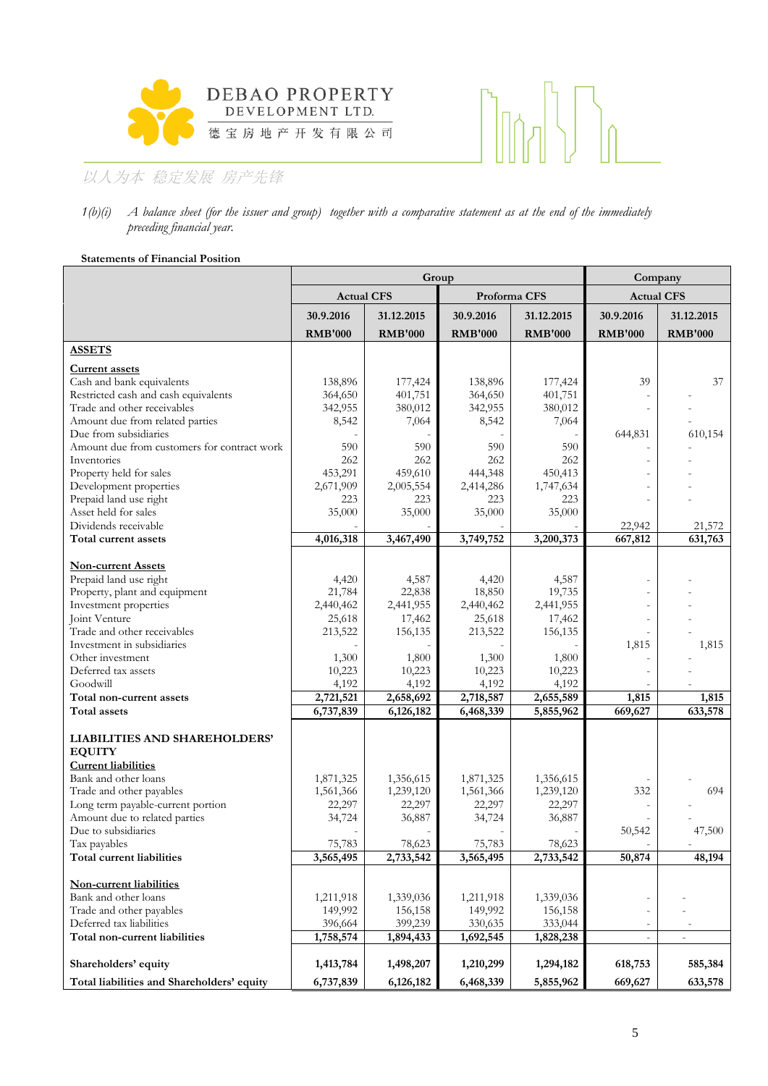



### *1(b)(i) A balance sheet (for the issuer and group) together with a comparative statement as at the end of the immediately preceding financial year.*

### **Statements of Financial Position**

|                                                          |                   | Group          | Company        |                |                          |                          |
|----------------------------------------------------------|-------------------|----------------|----------------|----------------|--------------------------|--------------------------|
|                                                          | <b>Actual CFS</b> |                | Proforma CFS   |                | <b>Actual CFS</b>        |                          |
|                                                          | 30.9.2016         | 31.12.2015     | 30.9.2016      | 31.12.2015     | 30.9.2016                | 31.12.2015               |
|                                                          | <b>RMB'000</b>    | <b>RMB'000</b> | <b>RMB'000</b> | <b>RMB'000</b> | <b>RMB'000</b>           | <b>RMB'000</b>           |
| <b>ASSETS</b>                                            |                   |                |                |                |                          |                          |
| <b>Current assets</b>                                    |                   |                |                |                |                          |                          |
| Cash and bank equivalents                                | 138,896           | 177,424        | 138,896        | 177,424        | 39                       | 37                       |
| Restricted cash and cash equivalents                     | 364,650           | 401,751        | 364,650        | 401,751        |                          |                          |
| Trade and other receivables                              | 342,955           | 380,012        | 342,955        | 380,012        | $\overline{a}$           |                          |
| Amount due from related parties<br>Due from subsidiaries | 8,542             | 7,064          | 8,542          | 7,064          | 644,831                  | 610,154                  |
| Amount due from customers for contract work              | 590               | 590            | 590            | 590            |                          |                          |
| Inventories                                              | 262               | 262            | 262            | 262            |                          |                          |
| Property held for sales                                  | 453,291           | 459,610        | 444,348        | 450,413        |                          |                          |
| Development properties                                   | 2,671,909         | 2,005,554      | 2,414,286      | 1,747,634      |                          |                          |
| Prepaid land use right                                   | 223               | 223            | 223            | 223            |                          |                          |
| Asset held for sales                                     | 35,000            | 35,000         | 35,000         | 35,000         |                          |                          |
| Dividends receivable                                     |                   |                |                |                | 22,942                   | 21,572                   |
| Total current assets                                     | 4,016,318         | 3,467,490      | 3,749,752      | 3,200,373      | 667,812                  | 631,763                  |
|                                                          |                   |                |                |                |                          |                          |
| <b>Non-current Assets</b><br>Prepaid land use right      | 4,420             | 4,587          | 4,420          | 4,587          |                          |                          |
| Property, plant and equipment                            | 21,784            | 22,838         | 18,850         | 19,735         |                          |                          |
| Investment properties                                    | 2,440,462         | 2,441,955      | 2,440,462      | 2,441,955      |                          |                          |
| Joint Venture                                            | 25,618            | 17,462         | 25,618         | 17,462         |                          |                          |
| Trade and other receivables                              | 213,522           | 156,135        | 213,522        | 156,135        |                          |                          |
| Investment in subsidiaries                               |                   |                |                |                | 1,815                    | 1,815                    |
| Other investment                                         | 1,300             | 1,800          | 1,300          | 1,800          |                          |                          |
| Deferred tax assets                                      | 10,223            | 10,223         | 10,223         | 10,223         |                          |                          |
| Goodwill                                                 | 4,192             | 4,192          | 4,192          | 4,192          |                          |                          |
| Total non-current assets                                 | 2,721,521         | 2,658,692      | 2,718,587      | 2,655,589      | 1,815                    | 1,815                    |
| Total assets                                             | 6,737,839         | 6,126,182      | 6,468,339      | 5,855,962      | 669,627                  | 633,578                  |
|                                                          |                   |                |                |                |                          |                          |
| LIABILITIES AND SHAREHOLDERS'<br><b>EQUITY</b>           |                   |                |                |                |                          |                          |
| <b>Current liabilities</b>                               |                   |                |                |                |                          |                          |
| Bank and other loans                                     | 1,871,325         | 1,356,615      | 1,871,325      | 1,356,615      |                          |                          |
| Trade and other payables                                 | 1,561,366         | 1,239,120      | 1,561,366      | 1,239,120      | 332                      | 694                      |
| Long term payable-current portion                        | 22,297            | 22,297         | 22,297         | 22,297         |                          |                          |
| Amount due to related parties                            | 34,724            | 36,887         | 34,724         | 36,887         |                          |                          |
| Due to subsidiaries                                      |                   |                |                |                | 50,542                   | 47,500                   |
| Tax payables                                             | 75.783            | 78.623         | 75.783         | 78.623         |                          |                          |
| Total current liabilities                                | 3,565,495         | 2,733,542      | 3,565,495      | 2,733,542      | 50,874                   | 48,194                   |
| Non-current liabilities                                  |                   |                |                |                |                          |                          |
| Bank and other loans                                     | 1,211,918         | 1,339,036      | 1,211,918      | 1,339,036      |                          |                          |
| Trade and other payables                                 | 149,992           | 156,158        | 149,992        | 156,158        |                          |                          |
| Deferred tax liabilities                                 | 396,664           | 399,239        | 330,635        | 333,044        |                          |                          |
| Total non-current liabilities                            | 1,758,574         | 1,894,433      | 1,692,545      | 1,828,238      | $\overline{\phantom{0}}$ | $\overline{\phantom{a}}$ |
| Shareholders' equity                                     | 1,413,784         | 1,498,207      | 1,210,299      | 1,294,182      | 618,753                  | 585,384                  |
|                                                          |                   |                |                |                |                          |                          |
| Total liabilities and Shareholders' equity               | 6,737,839         | 6,126,182      | 6,468,339      | 5,855,962      | 669,627                  | 633,578                  |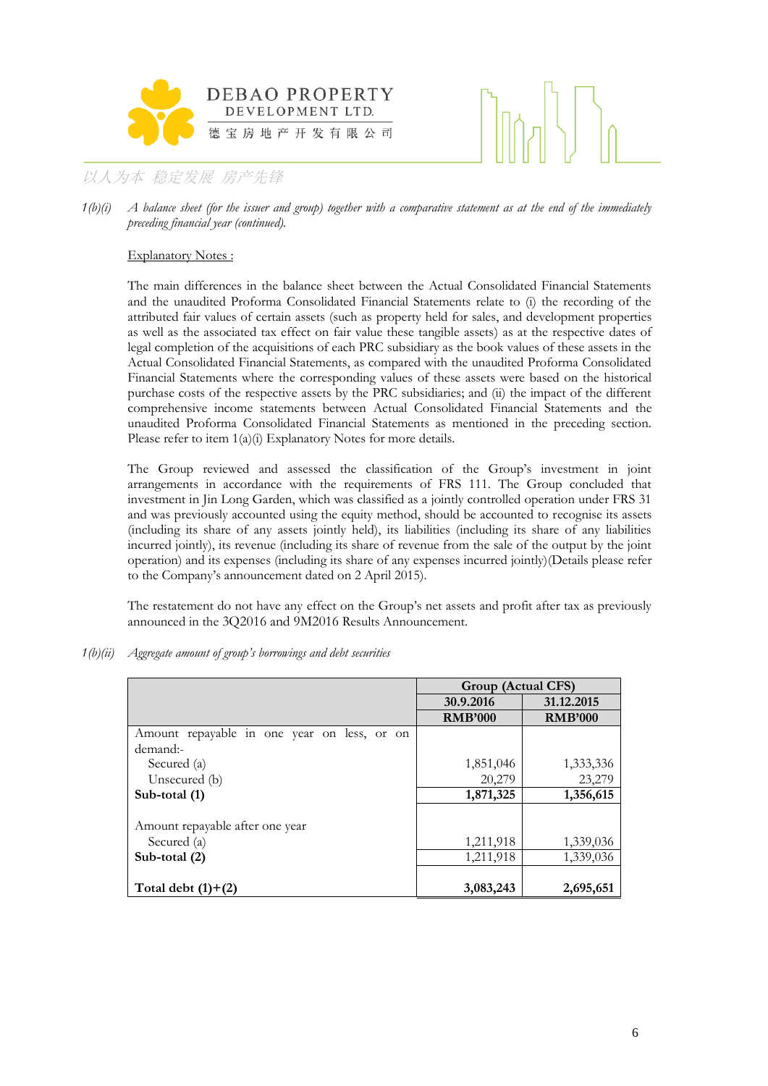



*1(b)(i) A balance sheet (for the issuer and group) together with a comparative statement as at the end of the immediately preceding financial year (continued).*

### Explanatory Notes :

The main differences in the balance sheet between the Actual Consolidated Financial Statements and the unaudited Proforma Consolidated Financial Statements relate to (i) the recording of the attributed fair values of certain assets (such as property held for sales, and development properties as well as the associated tax effect on fair value these tangible assets) as at the respective dates of legal completion of the acquisitions of each PRC subsidiary as the book values of these assets in the Actual Consolidated Financial Statements, as compared with the unaudited Proforma Consolidated Financial Statements where the corresponding values of these assets were based on the historical purchase costs of the respective assets by the PRC subsidiaries; and (ii) the impact of the different comprehensive income statements between Actual Consolidated Financial Statements and the unaudited Proforma Consolidated Financial Statements as mentioned in the preceding section. Please refer to item  $1(a)(i)$  Explanatory Notes for more details.

The Group reviewed and assessed the classification of the Group's investment in joint arrangements in accordance with the requirements of FRS 111. The Group concluded that investment in Jin Long Garden, which was classified as a jointly controlled operation under FRS 31 and was previously accounted using the equity method, should be accounted to recognise its assets (including its share of any assets jointly held), its liabilities (including its share of any liabilities incurred jointly), its revenue (including its share of revenue from the sale of the output by the joint operation) and its expenses (including its share of any expenses incurred jointly)(Details please refer to the Company's announcement dated on 2 April 2015).

The restatement do not have any effect on the Group's net assets and profit after tax as previously announced in the 3Q2016 and 9M2016 Results Announcement.

*1(b)(ii) Aggregate amount of group's borrowings and debt securities* 

|                                             | Group (Actual CFS) |                |
|---------------------------------------------|--------------------|----------------|
|                                             | 30.9.2016          | 31.12.2015     |
|                                             | <b>RMB'000</b>     | <b>RMB'000</b> |
| Amount repayable in one year on less, or on |                    |                |
| demand:-                                    |                    |                |
| Secured (a)                                 | 1,851,046          | 1,333,336      |
| Unsecured (b)                               | 20,279             | 23,279         |
| Sub-total (1)                               | 1,871,325          | 1,356,615      |
| Amount repayable after one year             |                    |                |
| Secured (a)                                 | 1,211,918          | 1,339,036      |
| Sub-total $(2)$                             | 1,211,918          | 1,339,036      |
|                                             |                    |                |
| Total debt $(1)+(2)$                        | 3,083,243          | 2,695,651      |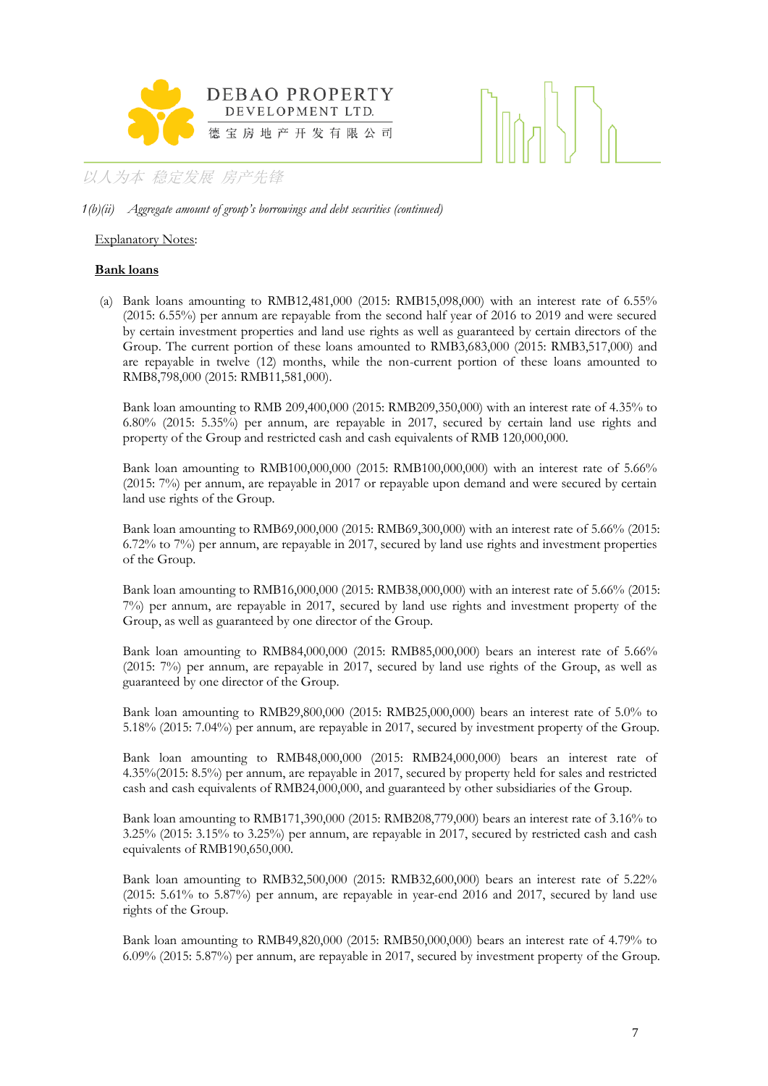

### *1(b)(ii) Aggregate amount of group's borrowings and debt securities (continued)*

### Explanatory Notes:

### **Bank loans**

(a) Bank loans amounting to RMB12,481,000 (2015: RMB15,098,000) with an interest rate of 6.55% (2015: 6.55%) per annum are repayable from the second half year of 2016 to 2019 and were secured by certain investment properties and land use rights as well as guaranteed by certain directors of the Group. The current portion of these loans amounted to RMB3,683,000 (2015: RMB3,517,000) and are repayable in twelve (12) months, while the non-current portion of these loans amounted to RMB8,798,000 (2015: RMB11,581,000).

Bank loan amounting to RMB 209,400,000 (2015: RMB209,350,000) with an interest rate of 4.35% to 6.80% (2015: 5.35%) per annum, are repayable in 2017, secured by certain land use rights and property of the Group and restricted cash and cash equivalents of RMB 120,000,000.

Bank loan amounting to RMB100,000,000 (2015: RMB100,000,000) with an interest rate of 5.66% (2015: 7%) per annum, are repayable in 2017 or repayable upon demand and were secured by certain land use rights of the Group.

Bank loan amounting to RMB69,000,000 (2015: RMB69,300,000) with an interest rate of 5.66% (2015: 6.72% to 7%) per annum, are repayable in 2017, secured by land use rights and investment properties of the Group.

Bank loan amounting to RMB16,000,000 (2015: RMB38,000,000) with an interest rate of 5.66% (2015: 7%) per annum, are repayable in 2017, secured by land use rights and investment property of the Group, as well as guaranteed by one director of the Group.

Bank loan amounting to RMB84,000,000 (2015: RMB85,000,000) bears an interest rate of 5.66% (2015: 7%) per annum, are repayable in 2017, secured by land use rights of the Group, as well as guaranteed by one director of the Group.

Bank loan amounting to RMB29,800,000 (2015: RMB25,000,000) bears an interest rate of 5.0% to 5.18% (2015: 7.04%) per annum, are repayable in 2017, secured by investment property of the Group.

Bank loan amounting to RMB48,000,000 (2015: RMB24,000,000) bears an interest rate of 4.35%(2015: 8.5%) per annum, are repayable in 2017, secured by property held for sales and restricted cash and cash equivalents of RMB24,000,000, and guaranteed by other subsidiaries of the Group.

Bank loan amounting to RMB171,390,000 (2015: RMB208,779,000) bears an interest rate of 3.16% to 3.25% (2015: 3.15% to 3.25%) per annum, are repayable in 2017, secured by restricted cash and cash equivalents of RMB190,650,000.

Bank loan amounting to RMB32,500,000 (2015: RMB32,600,000) bears an interest rate of 5.22% (2015: 5.61% to 5.87%) per annum, are repayable in year-end 2016 and 2017, secured by land use rights of the Group.

Bank loan amounting to RMB49,820,000 (2015: RMB50,000,000) bears an interest rate of 4.79% to 6.09% (2015: 5.87%) per annum, are repayable in 2017, secured by investment property of the Group.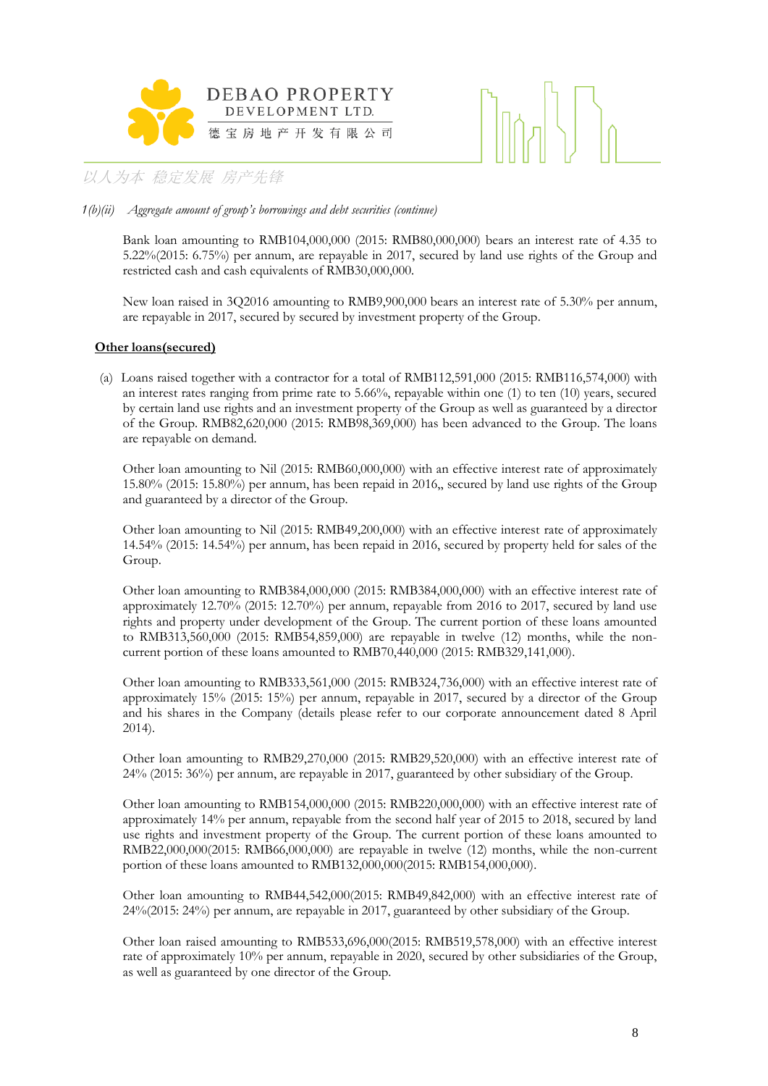



### *1(b)(ii) Aggregate amount of group's borrowings and debt securities (continue)*

Bank loan amounting to RMB104,000,000 (2015: RMB80,000,000) bears an interest rate of 4.35 to 5.22%(2015: 6.75%) per annum, are repayable in 2017, secured by land use rights of the Group and restricted cash and cash equivalents of RMB30,000,000.

New loan raised in 3Q2016 amounting to RMB9,900,000 bears an interest rate of 5.30% per annum, are repayable in 2017, secured by secured by investment property of the Group.

### **Other loans(secured)**

(a) Loans raised together with a contractor for a total of RMB112,591,000 (2015: RMB116,574,000) with an interest rates ranging from prime rate to  $5.66\%$ , repayable within one (1) to ten (10) years, secured by certain land use rights and an investment property of the Group as well as guaranteed by a director of the Group. RMB82,620,000 (2015: RMB98,369,000) has been advanced to the Group. The loans are repayable on demand.

Other loan amounting to Nil (2015: RMB60,000,000) with an effective interest rate of approximately 15.80% (2015: 15.80%) per annum, has been repaid in 2016,, secured by land use rights of the Group and guaranteed by a director of the Group.

Other loan amounting to Nil (2015: RMB49,200,000) with an effective interest rate of approximately 14.54% (2015: 14.54%) per annum, has been repaid in 2016, secured by property held for sales of the Group.

Other loan amounting to RMB384,000,000 (2015: RMB384,000,000) with an effective interest rate of approximately 12.70% (2015: 12.70%) per annum, repayable from 2016 to 2017, secured by land use rights and property under development of the Group. The current portion of these loans amounted to RMB313,560,000 (2015: RMB54,859,000) are repayable in twelve (12) months, while the noncurrent portion of these loans amounted to RMB70,440,000 (2015: RMB329,141,000).

Other loan amounting to RMB333,561,000 (2015: RMB324,736,000) with an effective interest rate of approximately 15% (2015: 15%) per annum, repayable in 2017, secured by a director of the Group and his shares in the Company (details please refer to our corporate announcement dated 8 April 2014).

Other loan amounting to RMB29,270,000 (2015: RMB29,520,000) with an effective interest rate of 24% (2015: 36%) per annum, are repayable in 2017, guaranteed by other subsidiary of the Group.

Other loan amounting to RMB154,000,000 (2015: RMB220,000,000) with an effective interest rate of approximately 14% per annum, repayable from the second half year of 2015 to 2018, secured by land use rights and investment property of the Group. The current portion of these loans amounted to RMB22,000,000(2015: RMB66,000,000) are repayable in twelve (12) months, while the non-current portion of these loans amounted to RMB132,000,000(2015: RMB154,000,000).

Other loan amounting to RMB44,542,000(2015: RMB49,842,000) with an effective interest rate of 24%(2015: 24%) per annum, are repayable in 2017, guaranteed by other subsidiary of the Group.

Other loan raised amounting to RMB533,696,000(2015: RMB519,578,000) with an effective interest rate of approximately 10% per annum, repayable in 2020, secured by other subsidiaries of the Group, as well as guaranteed by one director of the Group.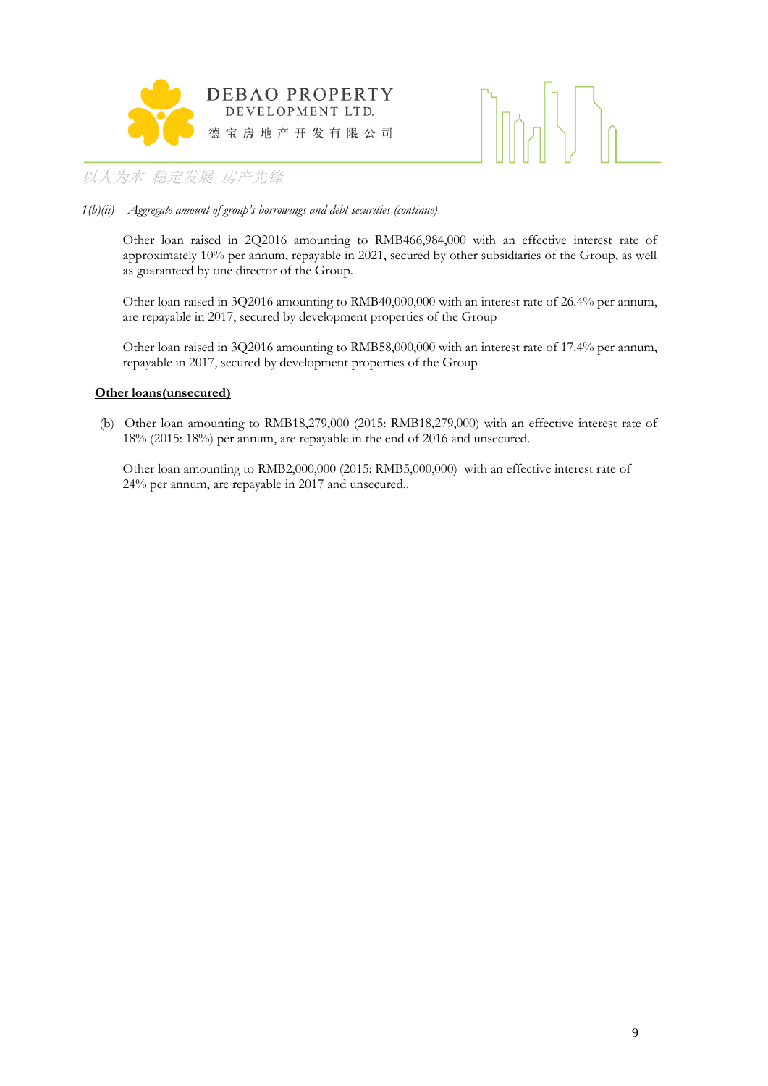



### *1(b)(ii) Aggregate amount of group's borrowings and debt securities (continue)*

Other loan raised in 2Q2016 amounting to RMB466,984,000 with an effective interest rate of approximately 10% per annum, repayable in 2021, secured by other subsidiaries of the Group, as well as guaranteed by one director of the Group.

Other loan raised in 3Q2016 amounting to RMB40,000,000 with an interest rate of 26.4% per annum, are repayable in 2017, secured by development properties of the Group

Other loan raised in 3Q2016 amounting to RMB58,000,000 with an interest rate of 17.4% per annum, repayable in 2017, secured by development properties of the Group

### **Other loans(unsecured)**

(b) Other loan amounting to RMB18,279,000 (2015: RMB18,279,000) with an effective interest rate of 18% (2015: 18%) per annum, are repayable in the end of 2016 and unsecured.

Other loan amounting to RMB2,000,000 (2015: RMB5,000,000) with an effective interest rate of 24% per annum, are repayable in 2017 and unsecured..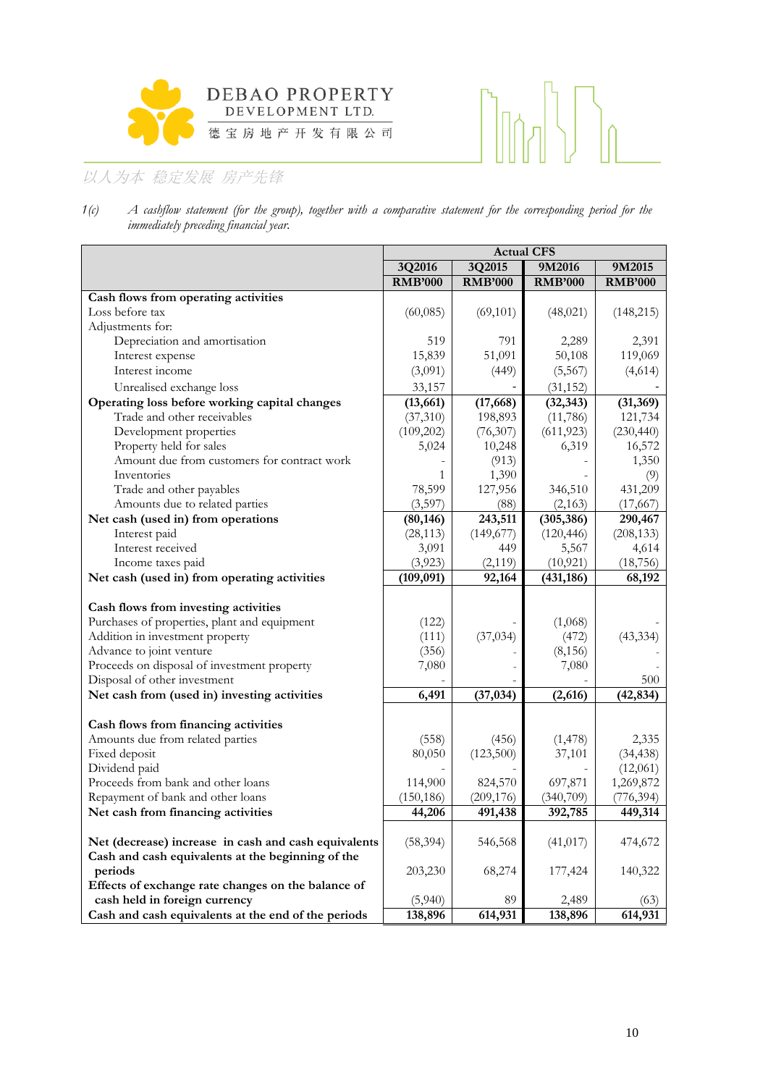

# $\bigcap_{n\in\mathbb{N}}$

# 以人为本 稳定发展 房产先锋

*1(c) A cashflow statement (for the group), together with a comparative statement for the corresponding period for the immediately preceding financial year.*

|                                                      | <b>Actual CFS</b> |                |                |                |  |  |
|------------------------------------------------------|-------------------|----------------|----------------|----------------|--|--|
|                                                      | 3Q2016            | 3Q2015         | 9M2016         | 9M2015         |  |  |
|                                                      | <b>RMB'000</b>    | <b>RMB'000</b> | <b>RMB'000</b> | <b>RMB'000</b> |  |  |
| Cash flows from operating activities                 |                   |                |                |                |  |  |
| Loss before tax                                      | (60,085)          | (69, 101)      | (48, 021)      | (148, 215)     |  |  |
| Adjustments for:                                     |                   |                |                |                |  |  |
| Depreciation and amortisation                        | 519               | 791            | 2,289          | 2,391          |  |  |
| Interest expense                                     | 15,839            | 51,091         | 50,108         | 119,069        |  |  |
| Interest income                                      | (3,091)           | (449)          | (5,567)        | (4,614)        |  |  |
| Unrealised exchange loss                             | 33,157            |                | (31, 152)      |                |  |  |
| Operating loss before working capital changes        | (13, 661)         | (17, 668)      | (32, 343)      | (31, 369)      |  |  |
| Trade and other receivables                          | (37,310)          | 198,893        | (11,786)       | 121,734        |  |  |
| Development properties                               | (109,202)         | (76,307)       | (611, 923)     | (230, 440)     |  |  |
| Property held for sales                              | 5,024             | 10,248         | 6,319          | 16,572         |  |  |
| Amount due from customers for contract work          |                   | (913)          |                | 1,350          |  |  |
| Inventories                                          | 1                 | 1,390          |                | (9)            |  |  |
| Trade and other payables                             | 78,599            | 127,956        | 346,510        | 431,209        |  |  |
| Amounts due to related parties                       | (3,597)           | (88)           | (2,163)        | (17, 667)      |  |  |
| Net cash (used in) from operations                   | (80, 146)         | 243,511        | (305, 386)     | 290,467        |  |  |
| Interest paid                                        | (28, 113)         | (149, 677)     | (120, 446)     | (208, 133)     |  |  |
| Interest received                                    | 3,091             | 449            | 5,567          | 4,614          |  |  |
| Income taxes paid                                    | (3,923)           | (2,119)        | (10, 921)      | (18, 756)      |  |  |
| Net cash (used in) from operating activities         | (109, 091)        | 92,164         | (431, 186)     | 68,192         |  |  |
|                                                      |                   |                |                |                |  |  |
| Cash flows from investing activities                 |                   |                |                |                |  |  |
| Purchases of properties, plant and equipment         | (122)             |                | (1,068)        |                |  |  |
| Addition in investment property                      | (111)             | (37, 034)      | (472)          | (43, 334)      |  |  |
| Advance to joint venture                             | (356)             |                | (8, 156)       |                |  |  |
| Proceeds on disposal of investment property          | 7,080             |                | 7,080          |                |  |  |
| Disposal of other investment                         |                   |                |                | 500            |  |  |
| Net cash from (used in) investing activities         | 6,491             | (37, 034)      | (2,616)        | (42, 834)      |  |  |
|                                                      |                   |                |                |                |  |  |
| Cash flows from financing activities                 |                   |                |                |                |  |  |
| Amounts due from related parties                     | (558)             | (456)          | (1, 478)       | 2,335          |  |  |
| Fixed deposit                                        | 80,050            | (123,500)      | 37,101         | (34, 438)      |  |  |
| Dividend paid                                        |                   |                |                | (12,061)       |  |  |
| Proceeds from bank and other loans                   | 114,900           | 824,570        | 697,871        | 1,269,872      |  |  |
| Repayment of bank and other loans                    | (150, 186)        | (209, 176)     | (340,709)      | (776, 394)     |  |  |
| Net cash from financing activities                   | 44,206            | 491,438        | 392,785        | 449,314        |  |  |
|                                                      |                   |                |                |                |  |  |
| Net (decrease) increase in cash and cash equivalents | (58, 394)         | 546,568        | (41, 017)      | 474,672        |  |  |
| Cash and cash equivalents at the beginning of the    |                   |                |                |                |  |  |
| periods                                              | 203,230           | 68,274         | 177,424        | 140,322        |  |  |
| Effects of exchange rate changes on the balance of   |                   |                |                |                |  |  |
| cash held in foreign currency                        | (5,940)           | 89             | 2,489          | (63)           |  |  |
| Cash and cash equivalents at the end of the periods  | 138,896           | 614,931        | 138,896        | 614,931        |  |  |
|                                                      |                   |                |                |                |  |  |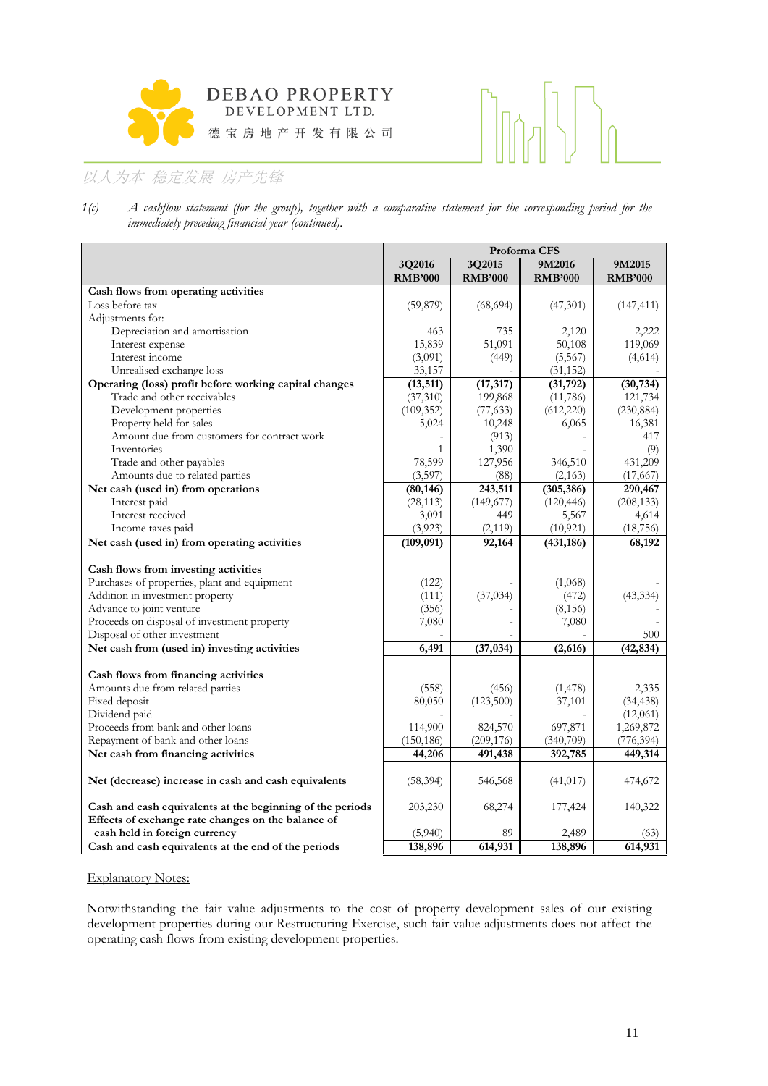



*1(c) A cashflow statement (for the group), together with a comparative statement for the corresponding period for the immediately preceding financial year (continued).*

|                                                           | Proforma CFS   |                |                |                |  |  |  |
|-----------------------------------------------------------|----------------|----------------|----------------|----------------|--|--|--|
|                                                           | 3Q2016         | 3Q2015         | 9M2016         | 9M2015         |  |  |  |
|                                                           | <b>RMB'000</b> | <b>RMB'000</b> | <b>RMB'000</b> | <b>RMB'000</b> |  |  |  |
| Cash flows from operating activities                      |                |                |                |                |  |  |  |
| Loss before tax                                           | (59, 879)      | (68, 694)      | (47,301)       | (147, 411)     |  |  |  |
| Adjustments for:                                          |                |                |                |                |  |  |  |
| Depreciation and amortisation                             | 463            | 735            | 2,120          | 2,222          |  |  |  |
| Interest expense                                          | 15,839         | 51,091         | 50,108         | 119,069        |  |  |  |
| Interest income                                           | (3,091)        | (449)          | (5, 567)       | (4,614)        |  |  |  |
| Unrealised exchange loss                                  | 33,157         |                | (31, 152)      |                |  |  |  |
| Operating (loss) profit before working capital changes    | (13, 511)      | (17, 317)      | (31, 792)      | (30, 734)      |  |  |  |
| Trade and other receivables                               | (37,310)       | 199,868        | (11,786)       | 121,734        |  |  |  |
| Development properties                                    | (109, 352)     | (77, 633)      | (612, 220)     | (230, 884)     |  |  |  |
| Property held for sales                                   | 5,024          | 10,248         | 6,065          | 16,381         |  |  |  |
| Amount due from customers for contract work               |                | (913)          |                | 417            |  |  |  |
| Inventories                                               | $\mathbf{1}$   | 1,390          |                | (9)            |  |  |  |
| Trade and other payables                                  | 78,599         | 127,956        | 346,510        | 431,209        |  |  |  |
| Amounts due to related parties                            | (3,597)        | (88)           | (2,163)        | (17, 667)      |  |  |  |
| Net cash (used in) from operations                        | (80, 146)      | 243,511        | (305, 386)     | 290,467        |  |  |  |
| Interest paid                                             | (28, 113)      | (149, 677)     | (120, 446)     | (208, 133)     |  |  |  |
| Interest received                                         | 3,091          | 449            | 5,567          | 4,614          |  |  |  |
| Income taxes paid                                         | (3,923)        | (2, 119)       | (10, 921)      | (18, 756)      |  |  |  |
| Net cash (used in) from operating activities              | (109, 091)     | 92,164         | (431, 186)     | 68,192         |  |  |  |
|                                                           |                |                |                |                |  |  |  |
| Cash flows from investing activities                      |                |                |                |                |  |  |  |
| Purchases of properties, plant and equipment              | (122)          |                | (1,068)        |                |  |  |  |
| Addition in investment property                           | (111)          | (37, 034)      | (472)          | (43, 334)      |  |  |  |
| Advance to joint venture                                  | (356)          |                | (8, 156)       |                |  |  |  |
| Proceeds on disposal of investment property               | 7,080          |                | 7,080          |                |  |  |  |
| Disposal of other investment                              |                |                |                | 500            |  |  |  |
| Net cash from (used in) investing activities              | 6,491          | (37, 034)      | (2,616)        | (42, 834)      |  |  |  |
|                                                           |                |                |                |                |  |  |  |
| Cash flows from financing activities                      |                |                |                |                |  |  |  |
| Amounts due from related parties                          | (558)          | (456)          | (1, 478)       | 2,335          |  |  |  |
| Fixed deposit                                             | 80,050         | (123,500)      | 37,101         | (34, 438)      |  |  |  |
| Dividend paid                                             |                |                |                | (12,061)       |  |  |  |
| Proceeds from bank and other loans                        | 114,900        | 824,570        | 697,871        | 1,269,872      |  |  |  |
| Repayment of bank and other loans                         | (150, 186)     | (209, 176)     | (340,709)      | (776, 394)     |  |  |  |
| Net cash from financing activities                        | 44,206         | 491,438        | 392,785        | 449,314        |  |  |  |
|                                                           |                |                |                |                |  |  |  |
| Net (decrease) increase in cash and cash equivalents      | (58, 394)      | 546,568        | (41, 017)      | 474,672        |  |  |  |
| Cash and cash equivalents at the beginning of the periods | 203,230        | 68,274         | 177,424        | 140,322        |  |  |  |
| Effects of exchange rate changes on the balance of        |                |                |                |                |  |  |  |
| cash held in foreign currency                             | (5,940)        | 89             | 2,489          | (63)           |  |  |  |
| Cash and cash equivalents at the end of the periods       | 138,896        | 614,931        | 138,896        | 614,931        |  |  |  |
|                                                           |                |                |                |                |  |  |  |

### Explanatory Notes:

Notwithstanding the fair value adjustments to the cost of property development sales of our existing development properties during our Restructuring Exercise, such fair value adjustments does not affect the operating cash flows from existing development properties.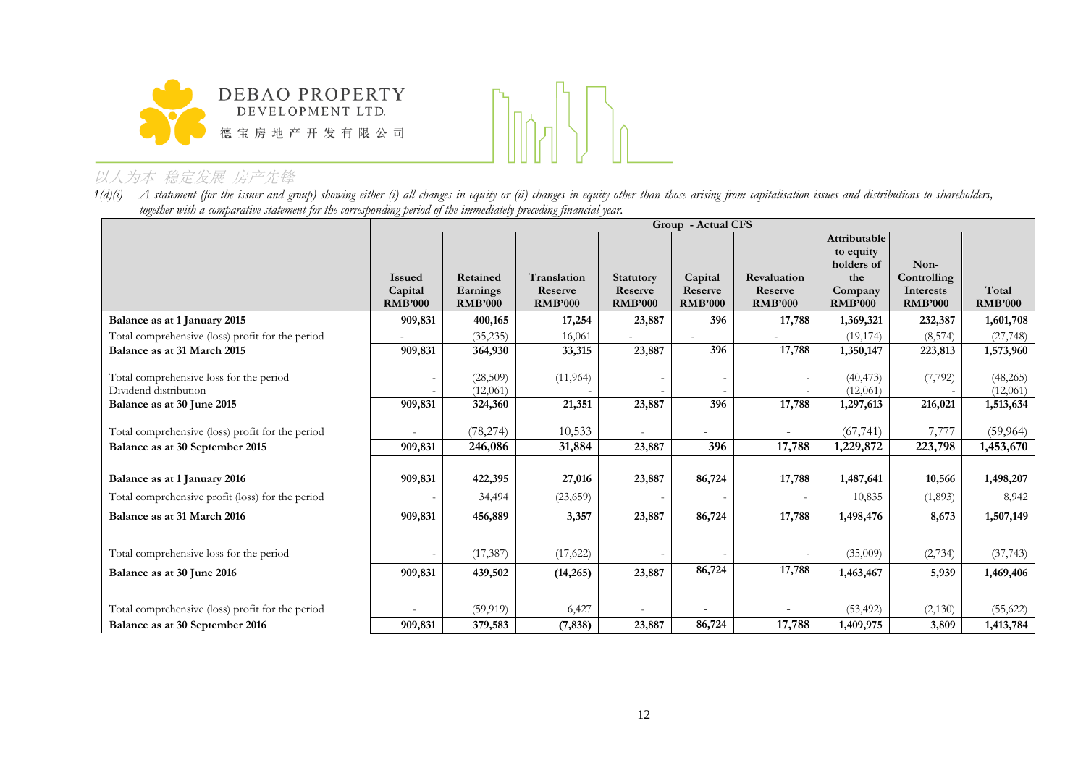

1(d)(i) A statement (for the issuer and group) showing either (i) all changes in equity or (ii) changes in equity other than those arising from capitalisation issues and distributions to shareholders, *together with a comparative statement for the corresponding period of the immediately preceding financial year.*

|                                                  |                |                |                |                  |                |                          | Group - Actual CFS |                |                |  |  |  |  |  |
|--------------------------------------------------|----------------|----------------|----------------|------------------|----------------|--------------------------|--------------------|----------------|----------------|--|--|--|--|--|
|                                                  |                |                |                |                  |                |                          | Attributable       |                |                |  |  |  |  |  |
|                                                  |                |                |                |                  |                |                          | to equity          |                |                |  |  |  |  |  |
|                                                  |                |                |                |                  |                |                          | holders of         | Non-           |                |  |  |  |  |  |
|                                                  | <b>Issued</b>  | Retained       | Translation    | <b>Statutory</b> | Capital        | Revaluation              | the                | Controlling    |                |  |  |  |  |  |
|                                                  | Capital        | Earnings       | Reserve        | Reserve          | Reserve        | Reserve                  | Company            | Interests      | Total          |  |  |  |  |  |
|                                                  | <b>RMB'000</b> | <b>RMB'000</b> | <b>RMB'000</b> | <b>RMB'000</b>   | <b>RMB'000</b> | <b>RMB'000</b>           | <b>RMB'000</b>     | <b>RMB'000</b> | <b>RMB'000</b> |  |  |  |  |  |
| Balance as at 1 January 2015                     | 909,831        | 400,165        | 17,254         | 23,887           | 396            | 17,788                   | 1,369,321          | 232,387        | 1,601,708      |  |  |  |  |  |
| Total comprehensive (loss) profit for the period |                | (35, 235)      | 16,061         |                  |                |                          | (19, 174)          | (8, 574)       | (27, 748)      |  |  |  |  |  |
| Balance as at 31 March 2015                      | 909,831        | 364,930        | 33,315         | 23,887           | 396            | 17,788                   | 1,350,147          | 223,813        | 1,573,960      |  |  |  |  |  |
|                                                  |                |                |                |                  |                |                          |                    |                |                |  |  |  |  |  |
| Total comprehensive loss for the period          |                | (28, 509)      | (11, 964)      |                  |                |                          | (40, 473)          | (7, 792)       | (48,265)       |  |  |  |  |  |
| Dividend distribution                            |                | (12,061)       |                |                  |                |                          | (12,061)           |                | (12,061)       |  |  |  |  |  |
| Balance as at 30 June 2015                       | 909,831        | 324,360        | 21,351         | 23,887           | 396            | 17,788                   | 1,297,613          | 216,021        | 1,513,634      |  |  |  |  |  |
|                                                  |                |                |                |                  |                |                          |                    |                |                |  |  |  |  |  |
| Total comprehensive (loss) profit for the period |                | (78, 274)      | 10,533         | $\overline{a}$   |                |                          | (67, 741)          | 7,777          | (59, 964)      |  |  |  |  |  |
| Balance as at 30 September 2015                  | 909,831        | 246,086        | 31,884         | 23,887           | 396            | 17,788                   | 1,229,872          | 223,798        | 1,453,670      |  |  |  |  |  |
|                                                  |                |                |                |                  |                |                          |                    |                |                |  |  |  |  |  |
| Balance as at 1 January 2016                     | 909,831        | 422,395        | 27,016         | 23,887           | 86,724         | 17,788                   | 1,487,641          | 10,566         | 1,498,207      |  |  |  |  |  |
| Total comprehensive profit (loss) for the period |                | 34,494         | (23,659)       |                  |                | $\overline{\phantom{0}}$ | 10,835             | (1,893)        | 8,942          |  |  |  |  |  |
| Balance as at 31 March 2016                      | 909,831        | 456,889        | 3,357          | 23,887           | 86,724         | 17,788                   | 1,498,476          | 8,673          | 1,507,149      |  |  |  |  |  |
|                                                  |                |                |                |                  |                |                          |                    |                |                |  |  |  |  |  |
| Total comprehensive loss for the period          |                | (17, 387)      | (17,622)       |                  |                |                          | (35,009)           | (2,734)        | (37, 743)      |  |  |  |  |  |
| Balance as at 30 June 2016                       | 909,831        | 439,502        | (14, 265)      | 23,887           | 86,724         | 17,788                   | 1,463,467          | 5,939          | 1,469,406      |  |  |  |  |  |
|                                                  |                |                |                |                  |                |                          |                    |                |                |  |  |  |  |  |
|                                                  |                |                |                |                  |                |                          |                    |                |                |  |  |  |  |  |
| Total comprehensive (loss) profit for the period |                | (59, 919)      | 6,427          |                  |                |                          | (53, 492)          | (2,130)        | (55, 622)      |  |  |  |  |  |
| Balance as at 30 September 2016                  | 909,831        | 379,583        | (7, 838)       | 23,887           | 86,724         | 17,788                   | 1,409,975          | 3,809          | 1,413,784      |  |  |  |  |  |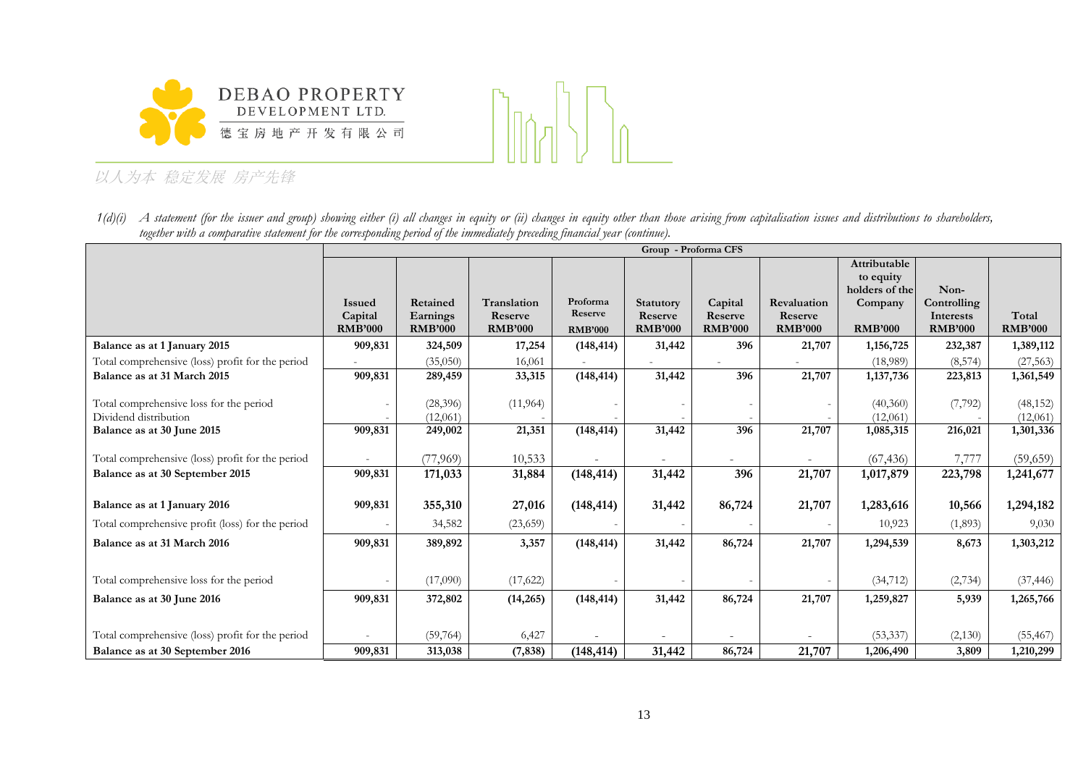



1(d)(i) A statement (for the issuer and group) showing either (i) all changes in equity or (ii) changes in equity other than those arising from capitalisation issues and distributions to shareholders, *together with a comparative statement for the corresponding period of the immediately preceding financial year (continue).*

|                                                  |                |                |                |                |                  | Group - Proforma CFS |                |                |                     |                |
|--------------------------------------------------|----------------|----------------|----------------|----------------|------------------|----------------------|----------------|----------------|---------------------|----------------|
|                                                  |                |                |                |                |                  |                      |                | Attributable   |                     |                |
|                                                  |                |                |                |                |                  |                      |                | to equity      |                     |                |
|                                                  | <b>Issued</b>  | Retained       | Translation    | Proforma       | <b>Statutory</b> | Capital              | Revaluation    | holders of the | Non-<br>Controlling |                |
|                                                  | Capital        | Earnings       | Reserve        | Reserve        | Reserve          | Reserve              | Reserve        | Company        | Interests           | Total          |
|                                                  | <b>RMB'000</b> | <b>RMB'000</b> | <b>RMB'000</b> | <b>RMB'000</b> | <b>RMB'000</b>   | <b>RMB'000</b>       | <b>RMB'000</b> | <b>RMB'000</b> | <b>RMB'000</b>      | <b>RMB'000</b> |
| Balance as at 1 January 2015                     | 909,831        | 324,509        | 17,254         | (148, 414)     | 31,442           | 396                  | 21,707         | 1,156,725      | 232,387             | 1,389,112      |
| Total comprehensive (loss) profit for the period |                | (35,050)       | 16,061         |                |                  |                      |                | (18,989)       | (8, 574)            | (27, 563)      |
| Balance as at 31 March 2015                      | 909,831        | 289,459        | 33,315         | (148, 414)     | 31,442           | 396                  | 21,707         | 1,137,736      | 223,813             | 1,361,549      |
|                                                  |                |                |                |                |                  |                      |                |                |                     |                |
| Total comprehensive loss for the period          |                | (28, 396)      | (11,964)       |                |                  |                      |                | (40,360)       | (7, 792)            | (48, 152)      |
| Dividend distribution                            |                | (12,061)       |                |                |                  |                      |                | (12,061)       |                     | (12,061)       |
| Balance as at 30 June 2015                       | 909,831        | 249,002        | 21,351         | (148, 414)     | 31,442           | 396                  | 21,707         | 1,085,315      | 216,021             | 1,301,336      |
|                                                  |                |                |                |                |                  |                      |                |                |                     |                |
| Total comprehensive (loss) profit for the period |                | (77,969)       | 10,533         |                |                  |                      |                | (67, 436)      | 7,777               | (59,659)       |
| Balance as at 30 September 2015                  | 909,831        | 171,033        | 31,884         | (148, 414)     | 31,442           | 396                  | 21,707         | 1,017,879      | 223,798             | 1,241,677      |
|                                                  |                |                |                |                |                  |                      |                |                |                     |                |
| Balance as at 1 January 2016                     | 909,831        | 355,310        | 27,016         | (148, 414)     | 31,442           | 86,724               | 21,707         | 1,283,616      | 10,566              | 1,294,182      |
| Total comprehensive profit (loss) for the period |                | 34,582         | (23, 659)      |                |                  |                      |                | 10,923         | (1,893)             | 9,030          |
| Balance as at 31 March 2016                      | 909,831        | 389,892        | 3,357          | (148, 414)     | 31,442           | 86,724               | 21,707         | 1,294,539      | 8,673               | 1,303,212      |
|                                                  |                |                |                |                |                  |                      |                |                |                     |                |
| Total comprehensive loss for the period          |                | (17,090)       | (17,622)       |                |                  |                      |                | (34, 712)      | (2,734)             | (37, 446)      |
| Balance as at 30 June 2016                       | 909,831        | 372,802        | (14,265)       | (148, 414)     | 31,442           | 86,724               | 21,707         | 1,259,827      | 5,939               | 1,265,766      |
|                                                  |                |                |                |                |                  |                      |                |                |                     |                |
|                                                  |                |                |                |                |                  |                      |                |                |                     |                |
| Total comprehensive (loss) profit for the period |                | (59,764)       | 6,427          |                |                  |                      |                | (53, 337)      | (2,130)             | (55, 467)      |
| Balance as at 30 September 2016                  | 909,831        | 313,038        | (7, 838)       | (148, 414)     | 31,442           | 86,724               | 21,707         | 1,206,490      | 3,809               | 1,210,299      |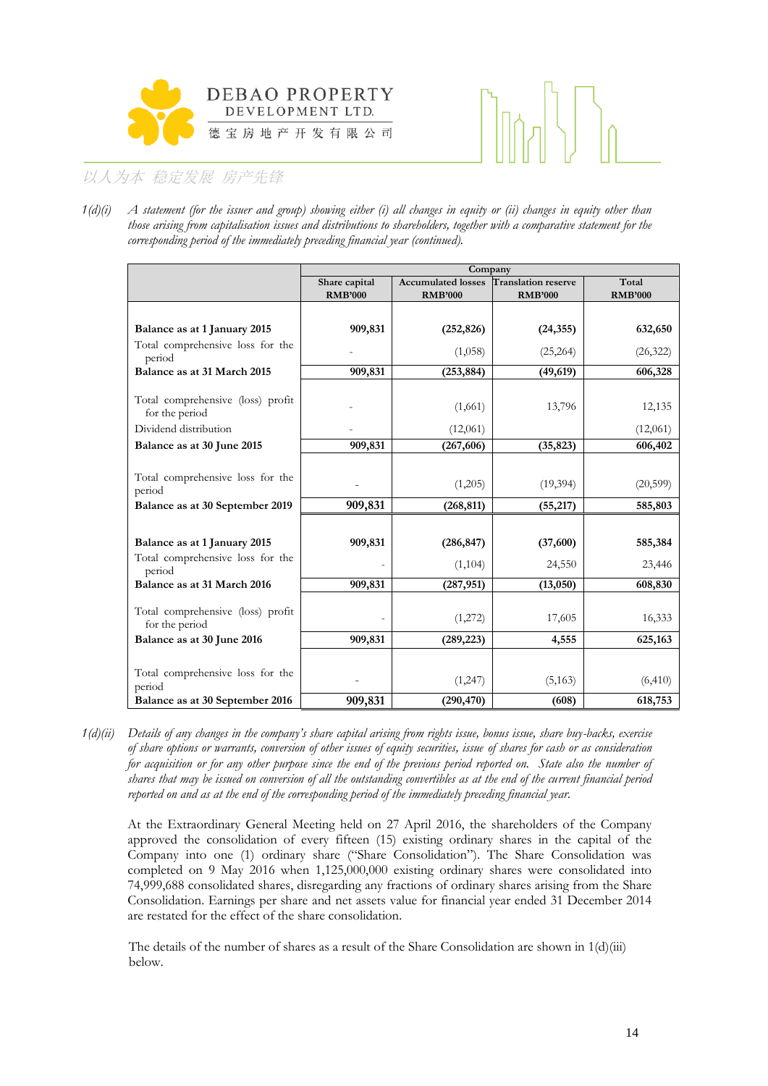



*1(d)(i) A statement (for the issuer and group) showing either (i) all changes in equity or (ii) changes in equity other than those arising from capitalisation issues and distributions to shareholders, together with a comparative statement for the corresponding period of the immediately preceding financial year (continued).*

|                                                     |                | Company                   |                            |                |
|-----------------------------------------------------|----------------|---------------------------|----------------------------|----------------|
|                                                     | Share capital  | <b>Accumulated losses</b> | <b>Translation reserve</b> | Total          |
|                                                     | <b>RMB'000</b> | <b>RMB'000</b>            | <b>RMB'000</b>             | <b>RMB'000</b> |
|                                                     |                |                           |                            |                |
| Balance as at 1 January 2015                        | 909,831        | (252, 826)                | (24, 355)                  | 632,650        |
| Total comprehensive loss for the<br>period          |                | (1,058)                   | (25, 264)                  | (26, 322)      |
| Balance as at 31 March 2015                         | 909,831        | (253, 884)                | (49, 619)                  | 606,328        |
| Total comprehensive (loss) profit                   |                | (1,661)                   | 13,796                     | 12,135         |
| for the period                                      |                |                           |                            |                |
| Dividend distribution                               |                | (12,061)                  |                            | (12,061)       |
| Balance as at 30 June 2015                          | 909,831        | (267, 606)                | (35, 823)                  | 606,402        |
|                                                     |                |                           |                            |                |
| Total comprehensive loss for the<br>period          |                | (1,205)                   | (19,394)                   | (20,599)       |
| Balance as at 30 September 2019                     | 909,831        | (268, 811)                | (55, 217)                  | 585,803        |
|                                                     |                |                           |                            |                |
| Balance as at 1 January 2015                        | 909,831        | (286, 847)                | (37,600)                   | 585,384        |
| Total comprehensive loss for the<br>period          |                | (1,104)                   | 24,550                     | 23,446         |
| Balance as at 31 March 2016                         | 909,831        | (287, 951)                | (13, 050)                  | 608,830        |
| Total comprehensive (loss) profit<br>for the period |                | (1,272)                   | 17,605                     | 16,333         |
| Balance as at 30 June 2016                          | 909,831        | (289, 223)                | 4,555                      | 625,163        |
|                                                     |                |                           |                            |                |
| Total comprehensive loss for the<br>period          |                | (1,247)                   | (5,163)                    | (6, 410)       |
| Balance as at 30 September 2016                     | 909,831        | (290, 470)                | (608)                      | 618,753        |

*1(d)(ii) Details of any changes in the company's share capital arising from rights issue, bonus issue, share buy-backs, exercise of share options or warrants, conversion of other issues of equity securities, issue of shares for cash or as consideration*  for acquisition or for any other purpose since the end of the previous period reported on. State also the number of *shares that may be issued on conversion of all the outstanding convertibles as at the end of the current financial period reported on and as at the end of the corresponding period of the immediately preceding financial year.*

At the Extraordinary General Meeting held on 27 April 2016, the shareholders of the Company approved the consolidation of every fifteen (15) existing ordinary shares in the capital of the Company into one (1) ordinary share ("Share Consolidation"). The Share Consolidation was completed on 9 May 2016 when 1,125,000,000 existing ordinary shares were consolidated into 74,999,688 consolidated shares, disregarding any fractions of ordinary shares arising from the Share Consolidation. Earnings per share and net assets value for financial year ended 31 December 2014 are restated for the effect of the share consolidation.

The details of the number of shares as a result of the Share Consolidation are shown in  $1(d)(iii)$ below.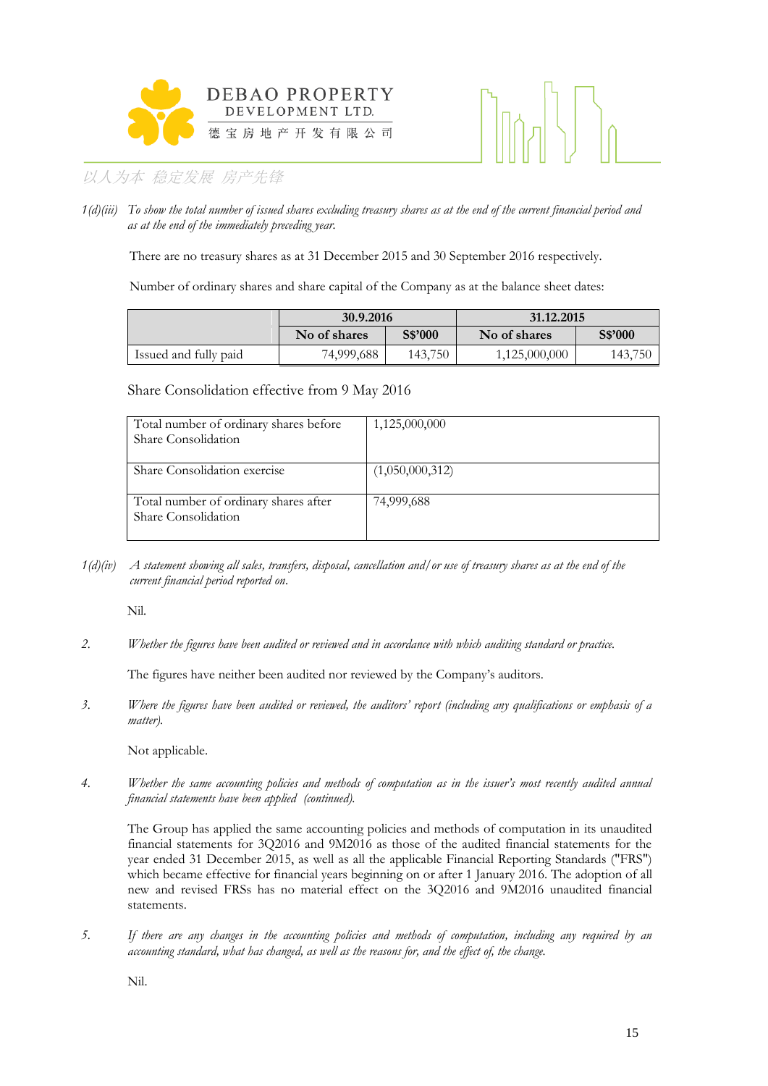



*1(d)(iii) To show the total number of issued shares excluding treasury shares as at the end of the current financial period and as at the end of the immediately preceding year.*

There are no treasury shares as at 31 December 2015 and 30 September 2016 respectively.

Number of ordinary shares and share capital of the Company as at the balance sheet dates:

|                       | 30.9.2016    |         | 31.12.2015    |         |  |  |
|-----------------------|--------------|---------|---------------|---------|--|--|
|                       | No of shares | S\$'000 | No of shares  | S\$'000 |  |  |
| Issued and fully paid | 74,999,688   | 143,750 | 1,125,000,000 | 143,750 |  |  |

Share Consolidation effective from 9 May 2016

| Total number of ordinary shares before<br>Share Consolidation | 1,125,000,000   |
|---------------------------------------------------------------|-----------------|
|                                                               |                 |
| Share Consolidation exercise                                  | (1,050,000,312) |
| Total number of ordinary shares after<br>Share Consolidation  | 74,999,688      |

*1(d)(iv) A statement showing all sales, transfers, disposal, cancellation and/or use of treasury shares as at the end of the current financial period reported on*.

Nil.

*2. Whether the figures have been audited or reviewed and in accordance with which auditing standard or practice.*

The figures have neither been audited nor reviewed by the Company's auditors.

*3. Where the figures have been audited or reviewed, the auditors' report (including any qualifications or emphasis of a matter).*

Not applicable.

*4. Whether the same accounting policies and methods of computation as in the issuer's most recently audited annual financial statements have been applied (continued).*

The Group has applied the same accounting policies and methods of computation in its unaudited financial statements for 3Q2016 and 9M2016 as those of the audited financial statements for the year ended 31 December 2015, as well as all the applicable Financial Reporting Standards ("FRS") which became effective for financial years beginning on or after 1 January 2016. The adoption of all new and revised FRSs has no material effect on the 3Q2016 and 9M2016 unaudited financial statements.

*5. If there are any changes in the accounting policies and methods of computation, including any required by an accounting standard, what has changed, as well as the reasons for, and the effect of, the change.*

Nil.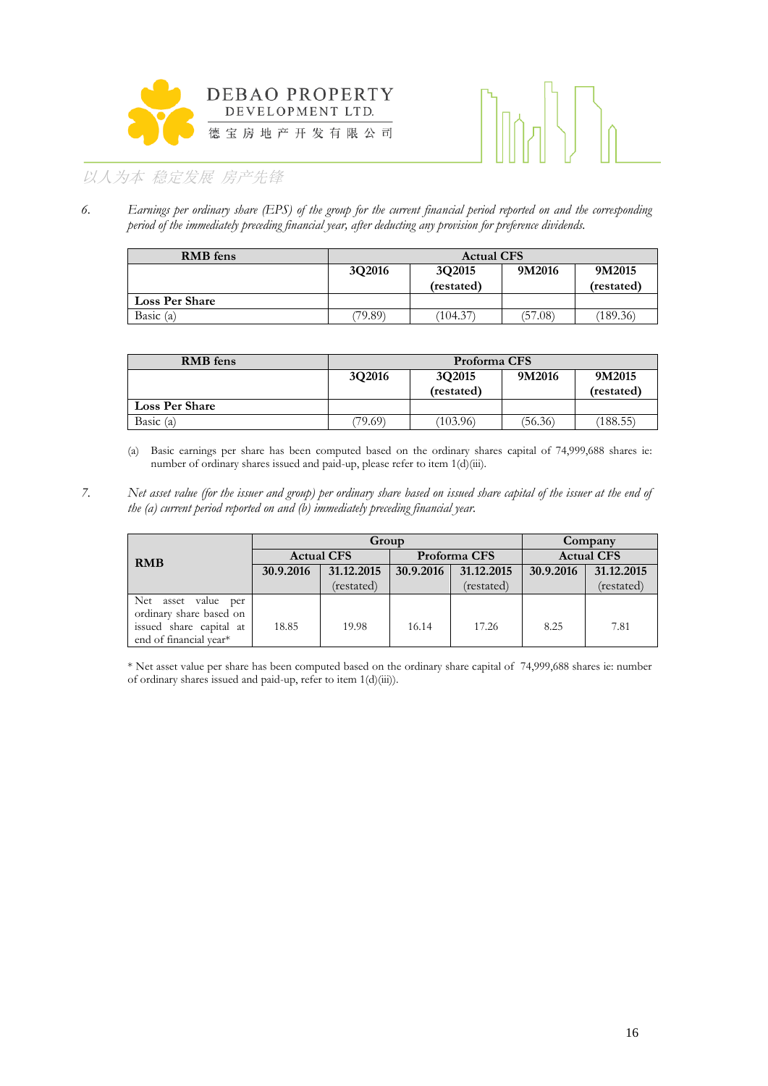



*6. Earnings per ordinary share (EPS) of the group for the current financial period reported on and the corresponding period of the immediately preceding financial year, after deducting any provision for preference dividends.*

| <b>RMB</b> fens       | <b>Actual CFS</b> |                      |         |                      |
|-----------------------|-------------------|----------------------|---------|----------------------|
|                       | 3Q2016            | 3Q2015<br>(restated) | 9M2016  | 9M2015<br>(restated) |
| <b>Loss Per Share</b> |                   |                      |         |                      |
| Basic $(a)$           | (79.89)           | (104.37)             | (57.08) | (189.36)             |

| <b>RMB</b> fens       | Proforma CFS                                                     |          |         |          |
|-----------------------|------------------------------------------------------------------|----------|---------|----------|
|                       | 3Q2016<br>9M2016<br>3Q2015<br>9M2015<br>(restated)<br>(restated) |          |         |          |
| <b>Loss Per Share</b> |                                                                  |          |         |          |
| Basic $(a)$           | (79.69)                                                          | (103.96) | (56.36) | (188.55) |

(a) Basic earnings per share has been computed based on the ordinary shares capital of 74,999,688 shares ie: number of ordinary shares issued and paid-up, please refer to item 1(d)(iii).

*7. Net asset value (for the issuer and group) per ordinary share based on issued share capital of the issuer at the end of the (a) current period reported on and (b) immediately preceding financial year.*

|                         | Group             |            |              |            | Company           |            |
|-------------------------|-------------------|------------|--------------|------------|-------------------|------------|
| <b>RMB</b>              | <b>Actual CFS</b> |            | Proforma CFS |            | <b>Actual CFS</b> |            |
|                         | 30.9.2016         | 31.12.2015 | 30.9.2016    | 31.12.2015 | 30.9.2016         | 31.12.2015 |
|                         |                   | (restated) |              | (restated) |                   | (restated) |
| Net asset value per     |                   |            |              |            |                   |            |
| ordinary share based on |                   |            |              |            |                   |            |
| issued share capital at | 18.85             | 19.98      | 16.14        | 17.26      | 8.25              | 7.81       |
| end of financial year*  |                   |            |              |            |                   |            |

\* Net asset value per share has been computed based on the ordinary share capital of 74,999,688 shares ie: number of ordinary shares issued and paid-up, refer to item 1(d)(iii)).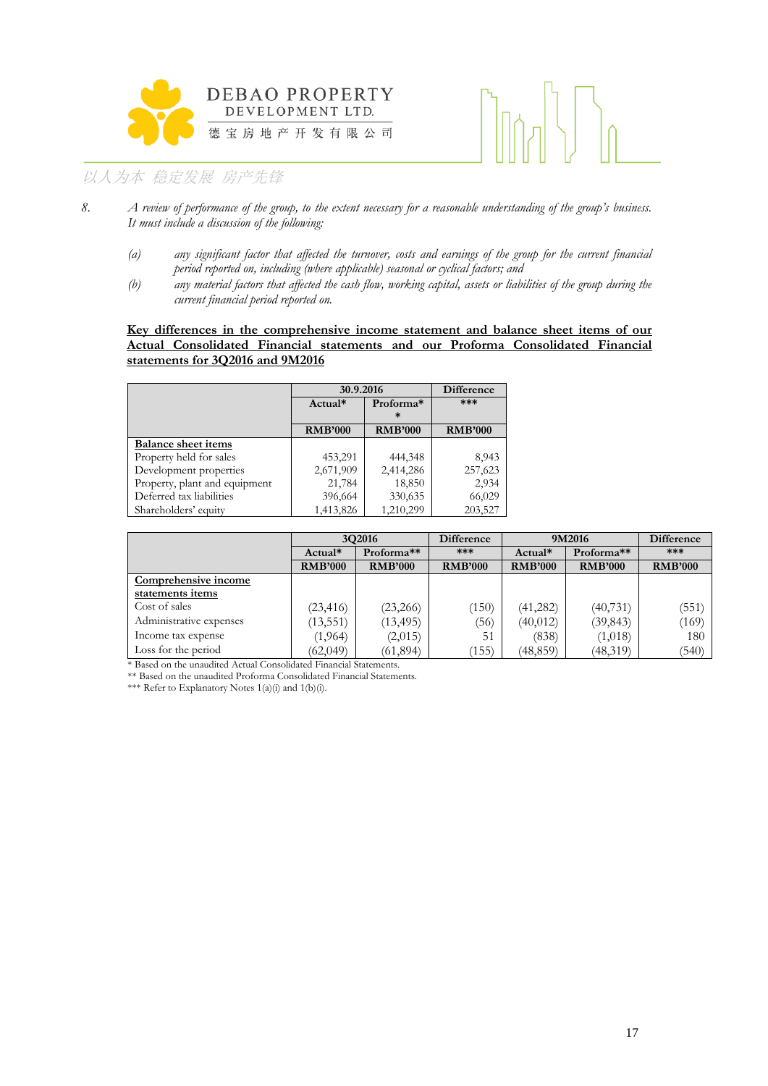



- *8. A review of performance of the group, to the extent necessary for a reasonable understanding of the group's business. It must include a discussion of the following:*
	- *(a) any significant factor that affected the turnover, costs and earnings of the group for the current financial period reported on, including (where applicable) seasonal or cyclical factors; and*
	- *(b) any material factors that affected the cash flow, working capital, assets or liabilities of the group during the current financial period reported on.*

### **Key differences in the comprehensive income statement and balance sheet items of our Actual Consolidated Financial statements and our Proforma Consolidated Financial statements for 3Q2016 and 9M2016**

|                               |                | 30.9.2016      |                |  |
|-------------------------------|----------------|----------------|----------------|--|
|                               | $Actual*$      | Proforma*<br>ж | ***            |  |
|                               | <b>RMB'000</b> | <b>RMB'000</b> | <b>RMB'000</b> |  |
| <b>Balance sheet items</b>    |                |                |                |  |
| Property held for sales       | 453,291        | 444,348        | 8,943          |  |
| Development properties        | 2,671,909      | 2,414,286      | 257,623        |  |
| Property, plant and equipment | 21,784         | 18,850         | 2,934          |  |
| Deferred tax liabilities      | 396,664        | 330,635        | 66,029         |  |
| Shareholders' equity          | 1,413,826      | 1,210,299      | 203,527        |  |

|                         | 3Q2016         |                | <b>Difference</b><br>9M2016 |                | Difference     |                |
|-------------------------|----------------|----------------|-----------------------------|----------------|----------------|----------------|
|                         | Actual*        | Proforma**     | ***                         | Actual*        | Proforma**     | ***            |
|                         | <b>RMB'000</b> | <b>RMB'000</b> | <b>RMB'000</b>              | <b>RMB'000</b> | <b>RMB'000</b> | <b>RMB'000</b> |
| Comprehensive income    |                |                |                             |                |                |                |
| statements items        |                |                |                             |                |                |                |
| Cost of sales           | (23, 416)      | (23,266)       | (150)                       | (41, 282)      | (40, 731)      | (551)          |
| Administrative expenses | (13, 551)      | (13, 495)      | 36)                         | (40, 012)      | (39, 843)      | (169)          |
| Income tax expense      | (1,964)        | (2,015)        | 51                          | (838)          | (1,018)        | 180            |
| Loss for the period     | (62,049)       | (61, 894)      | (155)                       | (48,859)       | (48,319)       | (540)          |

\* Based on the unaudited Actual Consolidated Financial Statements.

\*\* Based on the unaudited Proforma Consolidated Financial Statements.

\*\*\* Refer to Explanatory Notes  $1(a)(i)$  and  $1(b)(i)$ .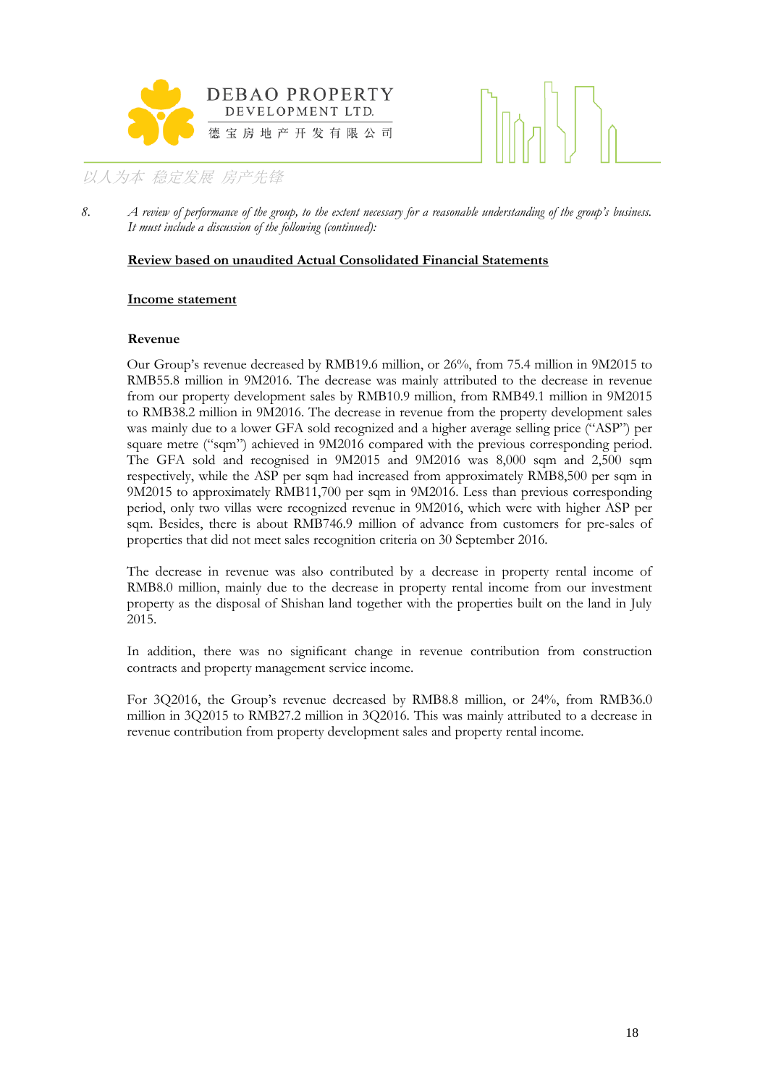



8. *A review of performance of the group, to the extent necessary for a reasonable understanding of the group's business. It must include a discussion of the following (continued):*

### **Review based on unaudited Actual Consolidated Financial Statements**

### **Income statement**

### **Revenue**

Our Group's revenue decreased by RMB19.6 million, or 26%, from 75.4 million in 9M2015 to RMB55.8 million in 9M2016. The decrease was mainly attributed to the decrease in revenue from our property development sales by RMB10.9 million, from RMB49.1 million in 9M2015 to RMB38.2 million in 9M2016. The decrease in revenue from the property development sales was mainly due to a lower GFA sold recognized and a higher average selling price ("ASP") per square metre ("sqm") achieved in 9M2016 compared with the previous corresponding period. The GFA sold and recognised in 9M2015 and 9M2016 was 8,000 sqm and 2,500 sqm respectively, while the ASP per sqm had increased from approximately RMB8,500 per sqm in 9M2015 to approximately RMB11,700 per sqm in 9M2016. Less than previous corresponding period, only two villas were recognized revenue in 9M2016, which were with higher ASP per sqm. Besides, there is about RMB746.9 million of advance from customers for pre-sales of properties that did not meet sales recognition criteria on 30 September 2016.

The decrease in revenue was also contributed by a decrease in property rental income of RMB8.0 million, mainly due to the decrease in property rental income from our investment property as the disposal of Shishan land together with the properties built on the land in July 2015.

In addition, there was no significant change in revenue contribution from construction contracts and property management service income.

For 3Q2016, the Group's revenue decreased by RMB8.8 million, or 24%, from RMB36.0 million in 3Q2015 to RMB27.2 million in 3Q2016. This was mainly attributed to a decrease in revenue contribution from property development sales and property rental income.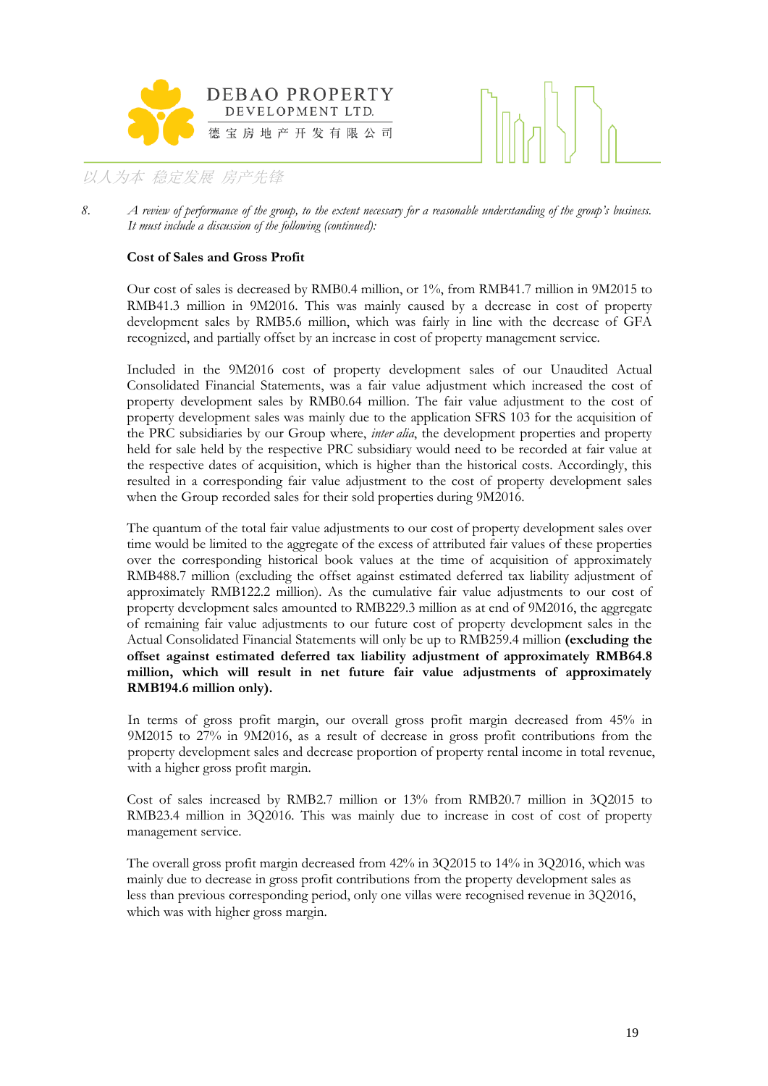



### **Cost of Sales and Gross Profit**

Our cost of sales is decreased by RMB0.4 million, or 1%, from RMB41.7 million in 9M2015 to RMB41.3 million in 9M2016. This was mainly caused by a decrease in cost of property development sales by RMB5.6 million, which was fairly in line with the decrease of GFA recognized, and partially offset by an increase in cost of property management service.

Included in the 9M2016 cost of property development sales of our Unaudited Actual Consolidated Financial Statements, was a fair value adjustment which increased the cost of property development sales by RMB0.64 million. The fair value adjustment to the cost of property development sales was mainly due to the application SFRS 103 for the acquisition of the PRC subsidiaries by our Group where, *inter alia*, the development properties and property held for sale held by the respective PRC subsidiary would need to be recorded at fair value at the respective dates of acquisition, which is higher than the historical costs. Accordingly, this resulted in a corresponding fair value adjustment to the cost of property development sales when the Group recorded sales for their sold properties during 9M2016.

The quantum of the total fair value adjustments to our cost of property development sales over time would be limited to the aggregate of the excess of attributed fair values of these properties over the corresponding historical book values at the time of acquisition of approximately RMB488.7 million (excluding the offset against estimated deferred tax liability adjustment of approximately RMB122.2 million). As the cumulative fair value adjustments to our cost of property development sales amounted to RMB229.3 million as at end of 9M2016, the aggregate of remaining fair value adjustments to our future cost of property development sales in the Actual Consolidated Financial Statements will only be up to RMB259.4 million **(excluding the offset against estimated deferred tax liability adjustment of approximately RMB64.8 million, which will result in net future fair value adjustments of approximately RMB194.6 million only).**

In terms of gross profit margin, our overall gross profit margin decreased from 45% in 9M2015 to 27% in 9M2016, as a result of decrease in gross profit contributions from the property development sales and decrease proportion of property rental income in total revenue, with a higher gross profit margin.

Cost of sales increased by RMB2.7 million or 13% from RMB20.7 million in 3Q2015 to RMB23.4 million in 3Q2016. This was mainly due to increase in cost of cost of property management service.

The overall gross profit margin decreased from 42% in 3Q2015 to 14% in 3Q2016, which was mainly due to decrease in gross profit contributions from the property development sales as less than previous corresponding period, only one villas were recognised revenue in 3Q2016, which was with higher gross margin.

<sup>8.</sup> *A review of performance of the group, to the extent necessary for a reasonable understanding of the group's business. It must include a discussion of the following (continued):*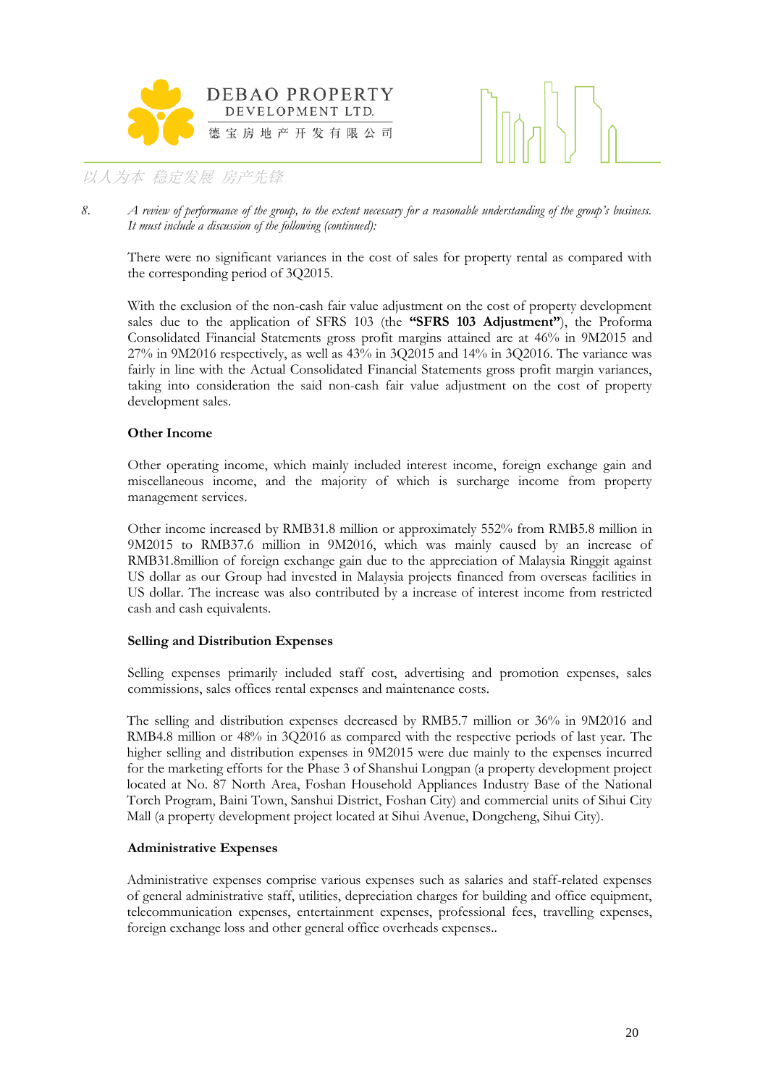



8. *A review of performance of the group, to the extent necessary for a reasonable understanding of the group's business. It must include a discussion of the following (continued):*

There were no significant variances in the cost of sales for property rental as compared with the corresponding period of 3Q2015.

With the exclusion of the non-cash fair value adjustment on the cost of property development sales due to the application of SFRS 103 (the **"SFRS 103 Adjustment"**), the Proforma Consolidated Financial Statements gross profit margins attained are at 46% in 9M2015 and 27% in 9M2016 respectively, as well as 43% in 3Q2015 and 14% in 3Q2016. The variance was fairly in line with the Actual Consolidated Financial Statements gross profit margin variances, taking into consideration the said non-cash fair value adjustment on the cost of property development sales.

### **Other Income**

Other operating income, which mainly included interest income, foreign exchange gain and miscellaneous income, and the majority of which is surcharge income from property management services.

Other income increased by RMB31.8 million or approximately 552% from RMB5.8 million in 9M2015 to RMB37.6 million in 9M2016, which was mainly caused by an increase of RMB31.8million of foreign exchange gain due to the appreciation of Malaysia Ringgit against US dollar as our Group had invested in Malaysia projects financed from overseas facilities in US dollar. The increase was also contributed by a increase of interest income from restricted cash and cash equivalents.

### **Selling and Distribution Expenses**

Selling expenses primarily included staff cost, advertising and promotion expenses, sales commissions, sales offices rental expenses and maintenance costs.

The selling and distribution expenses decreased by RMB5.7 million or 36% in 9M2016 and RMB4.8 million or 48% in 3Q2016 as compared with the respective periods of last year. The higher selling and distribution expenses in 9M2015 were due mainly to the expenses incurred for the marketing efforts for the Phase 3 of Shanshui Longpan (a property development project located at No. 87 North Area, Foshan Household Appliances Industry Base of the National Torch Program, Baini Town, Sanshui District, Foshan City) and commercial units of Sihui City Mall (a property development project located at Sihui Avenue, Dongcheng, Sihui City).

### **Administrative Expenses**

Administrative expenses comprise various expenses such as salaries and staff-related expenses of general administrative staff, utilities, depreciation charges for building and office equipment, telecommunication expenses, entertainment expenses, professional fees, travelling expenses, foreign exchange loss and other general office overheads expenses..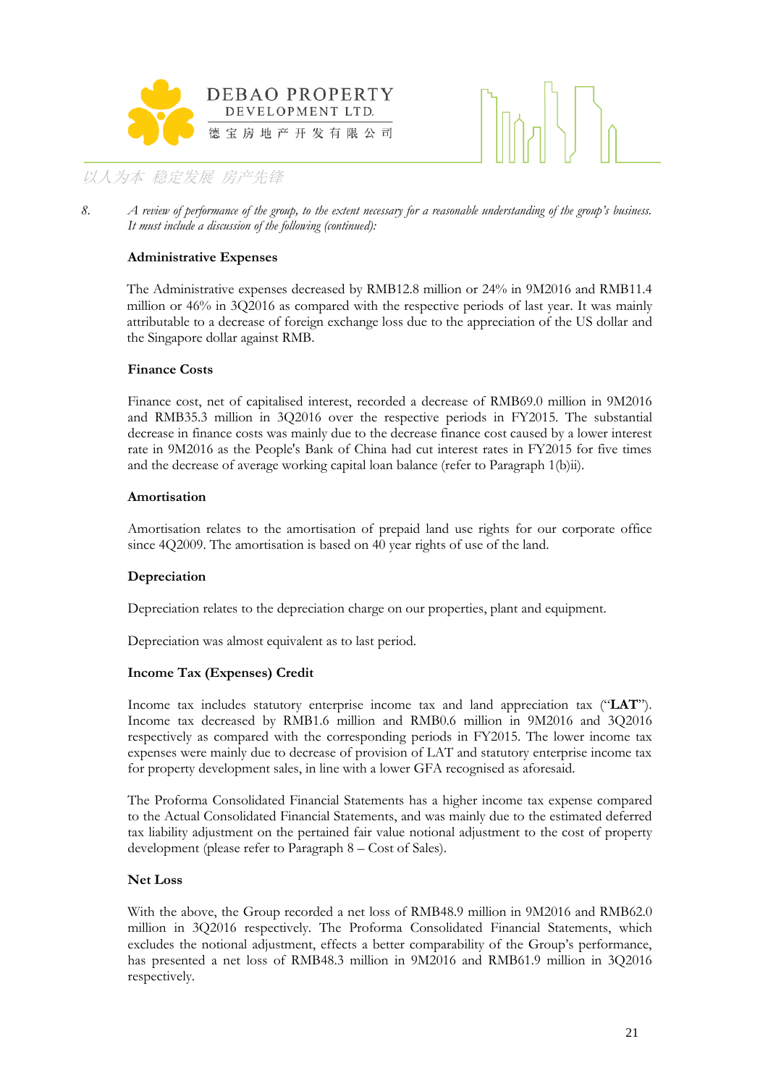



8. *A review of performance of the group, to the extent necessary for a reasonable understanding of the group's business. It must include a discussion of the following (continued):*

### **Administrative Expenses**

The Administrative expenses decreased by RMB12.8 million or 24% in 9M2016 and RMB11.4 million or 46% in 3Q2016 as compared with the respective periods of last year. It was mainly attributable to a decrease of foreign exchange loss due to the appreciation of the US dollar and the Singapore dollar against RMB.

### **Finance Costs**

Finance cost, net of capitalised interest, recorded a decrease of RMB69.0 million in 9M2016 and RMB35.3 million in 3Q2016 over the respective periods in FY2015. The substantial decrease in finance costs was mainly due to the decrease finance cost caused by a lower interest rate in 9M2016 as the People's Bank of China had cut interest rates in FY2015 for five times and the decrease of average working capital loan balance (refer to Paragraph 1(b)ii).

### **Amortisation**

Amortisation relates to the amortisation of prepaid land use rights for our corporate office since 4Q2009. The amortisation is based on 40 year rights of use of the land.

### **Depreciation**

Depreciation relates to the depreciation charge on our properties, plant and equipment.

Depreciation was almost equivalent as to last period.

### **Income Tax (Expenses) Credit**

Income tax includes statutory enterprise income tax and land appreciation tax ("**LAT**"). Income tax decreased by RMB1.6 million and RMB0.6 million in 9M2016 and 3Q2016 respectively as compared with the corresponding periods in FY2015. The lower income tax expenses were mainly due to decrease of provision of LAT and statutory enterprise income tax for property development sales, in line with a lower GFA recognised as aforesaid.

The Proforma Consolidated Financial Statements has a higher income tax expense compared to the Actual Consolidated Financial Statements, and was mainly due to the estimated deferred tax liability adjustment on the pertained fair value notional adjustment to the cost of property development (please refer to Paragraph 8 – Cost of Sales).

### **Net Loss**

With the above, the Group recorded a net loss of RMB48.9 million in 9M2016 and RMB62.0 million in 3Q2016 respectively. The Proforma Consolidated Financial Statements, which excludes the notional adjustment, effects a better comparability of the Group's performance, has presented a net loss of RMB48.3 million in 9M2016 and RMB61.9 million in 3Q2016 respectively.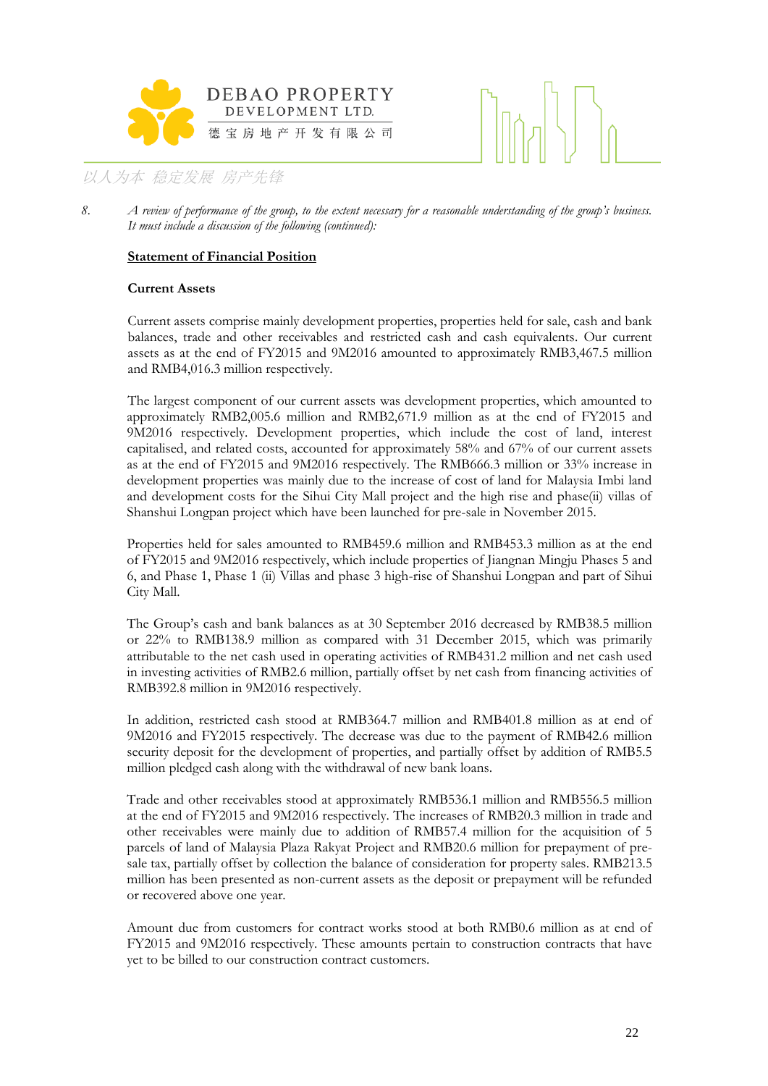



### **Statement of Financial Position**

### **Current Assets**

Current assets comprise mainly development properties, properties held for sale, cash and bank balances, trade and other receivables and restricted cash and cash equivalents. Our current assets as at the end of FY2015 and 9M2016 amounted to approximately RMB3,467.5 million and RMB4,016.3 million respectively.

The largest component of our current assets was development properties, which amounted to approximately RMB2,005.6 million and RMB2,671.9 million as at the end of FY2015 and 9M2016 respectively. Development properties, which include the cost of land, interest capitalised, and related costs, accounted for approximately 58% and 67% of our current assets as at the end of FY2015 and 9M2016 respectively. The RMB666.3 million or 33% increase in development properties was mainly due to the increase of cost of land for Malaysia Imbi land and development costs for the Sihui City Mall project and the high rise and phase(ii) villas of Shanshui Longpan project which have been launched for pre-sale in November 2015.

Properties held for sales amounted to RMB459.6 million and RMB453.3 million as at the end of FY2015 and 9M2016 respectively, which include properties of Jiangnan Mingju Phases 5 and 6, and Phase 1, Phase 1 (ii) Villas and phase 3 high-rise of Shanshui Longpan and part of Sihui City Mall.

The Group's cash and bank balances as at 30 September 2016 decreased by RMB38.5 million or 22% to RMB138.9 million as compared with 31 December 2015, which was primarily attributable to the net cash used in operating activities of RMB431.2 million and net cash used in investing activities of RMB2.6 million, partially offset by net cash from financing activities of RMB392.8 million in 9M2016 respectively.

In addition, restricted cash stood at RMB364.7 million and RMB401.8 million as at end of 9M2016 and FY2015 respectively. The decrease was due to the payment of RMB42.6 million security deposit for the development of properties, and partially offset by addition of RMB5.5 million pledged cash along with the withdrawal of new bank loans.

Trade and other receivables stood at approximately RMB536.1 million and RMB556.5 million at the end of FY2015 and 9M2016 respectively. The increases of RMB20.3 million in trade and other receivables were mainly due to addition of RMB57.4 million for the acquisition of 5 parcels of land of Malaysia Plaza Rakyat Project and RMB20.6 million for prepayment of presale tax, partially offset by collection the balance of consideration for property sales. RMB213.5 million has been presented as non-current assets as the deposit or prepayment will be refunded or recovered above one year.

Amount due from customers for contract works stood at both RMB0.6 million as at end of FY2015 and 9M2016 respectively. These amounts pertain to construction contracts that have yet to be billed to our construction contract customers.

*<sup>8.</sup> A review of performance of the group, to the extent necessary for a reasonable understanding of the group's business. It must include a discussion of the following (continued):*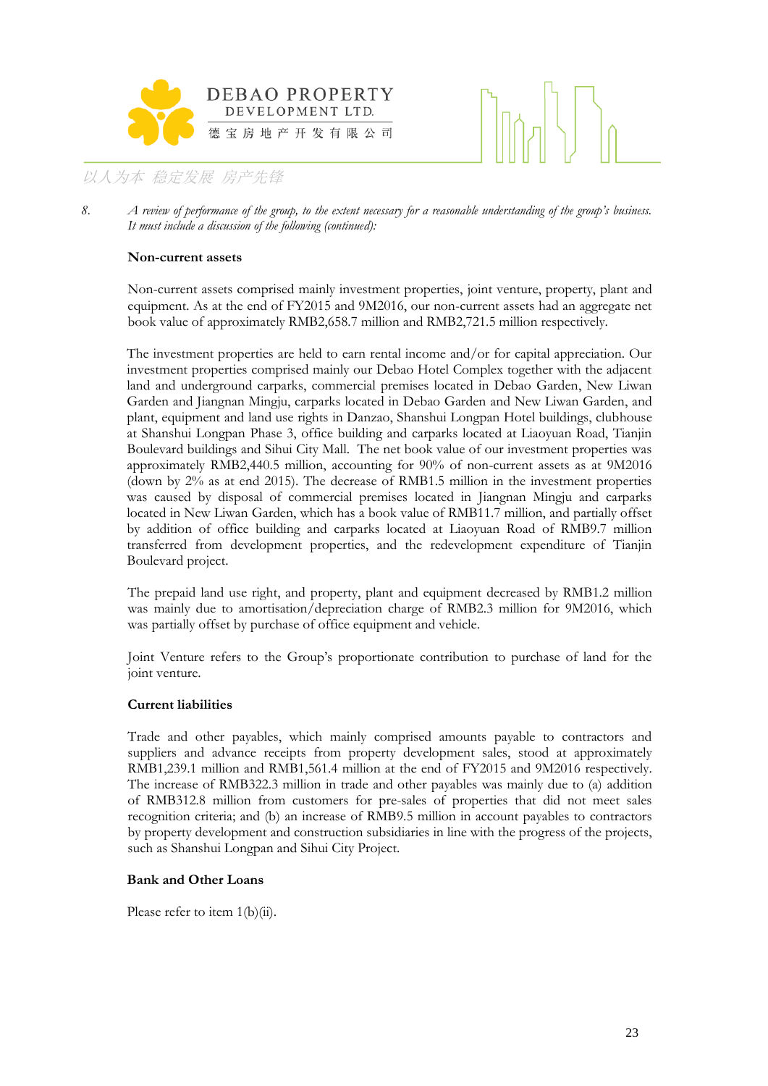



8. *A review of performance of the group, to the extent necessary for a reasonable understanding of the group's business. It must include a discussion of the following (continued):*

### **Non-current assets**

Non-current assets comprised mainly investment properties, joint venture, property, plant and equipment. As at the end of FY2015 and 9M2016, our non-current assets had an aggregate net book value of approximately RMB2,658.7 million and RMB2,721.5 million respectively.

The investment properties are held to earn rental income and/or for capital appreciation. Our investment properties comprised mainly our Debao Hotel Complex together with the adjacent land and underground carparks, commercial premises located in Debao Garden, New Liwan Garden and Jiangnan Mingju, carparks located in Debao Garden and New Liwan Garden, and plant, equipment and land use rights in Danzao, Shanshui Longpan Hotel buildings, clubhouse at Shanshui Longpan Phase 3, office building and carparks located at Liaoyuan Road, Tianjin Boulevard buildings and Sihui City Mall. The net book value of our investment properties was approximately RMB2,440.5 million, accounting for 90% of non-current assets as at 9M2016 (down by 2% as at end 2015). The decrease of RMB1.5 million in the investment properties was caused by disposal of commercial premises located in Jiangnan Mingju and carparks located in New Liwan Garden, which has a book value of RMB11.7 million, and partially offset by addition of office building and carparks located at Liaoyuan Road of RMB9.7 million transferred from development properties, and the redevelopment expenditure of Tianjin Boulevard project.

The prepaid land use right, and property, plant and equipment decreased by RMB1.2 million was mainly due to amortisation/depreciation charge of RMB2.3 million for 9M2016, which was partially offset by purchase of office equipment and vehicle.

Joint Venture refers to the Group's proportionate contribution to purchase of land for the joint venture.

### **Current liabilities**

Trade and other payables, which mainly comprised amounts payable to contractors and suppliers and advance receipts from property development sales, stood at approximately RMB1,239.1 million and RMB1,561.4 million at the end of FY2015 and 9M2016 respectively. The increase of RMB322.3 million in trade and other payables was mainly due to (a) addition of RMB312.8 million from customers for pre-sales of properties that did not meet sales recognition criteria; and (b) an increase of RMB9.5 million in account payables to contractors by property development and construction subsidiaries in line with the progress of the projects, such as Shanshui Longpan and Sihui City Project.

### **Bank and Other Loans**

Please refer to item 1(b)(ii).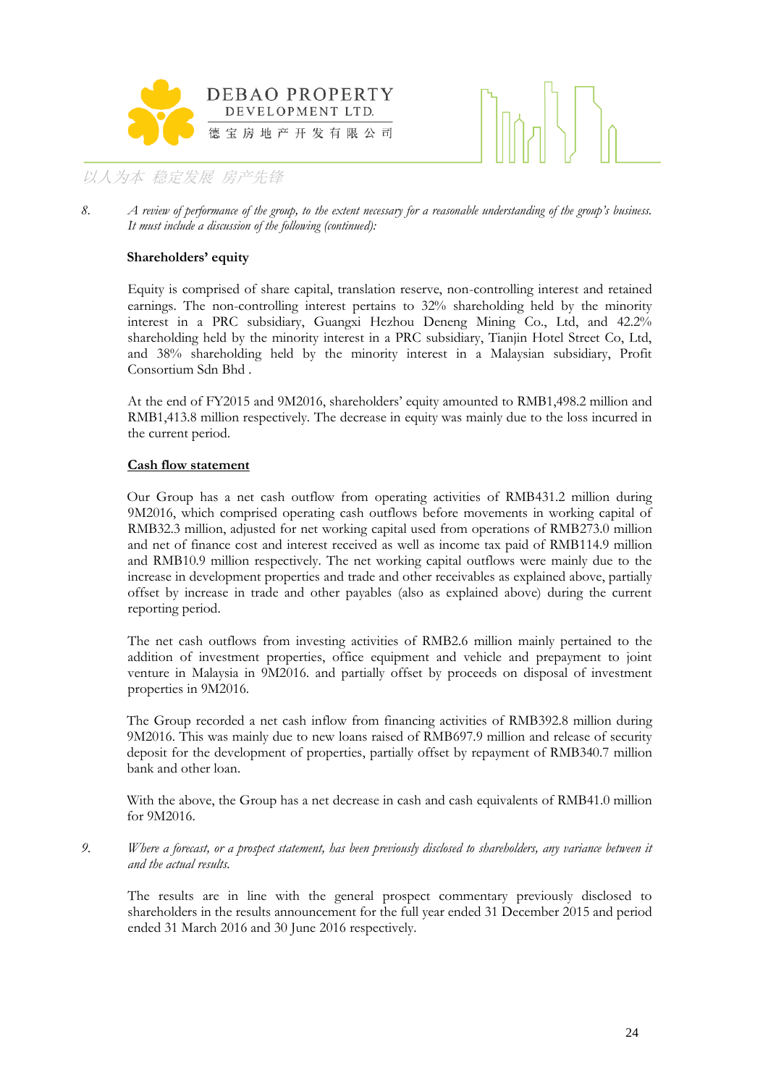



*8. A review of performance of the group, to the extent necessary for a reasonable understanding of the group's business. It must include a discussion of the following (continued):*

### **Shareholders' equity**

Equity is comprised of share capital, translation reserve, non-controlling interest and retained earnings. The non-controlling interest pertains to 32% shareholding held by the minority interest in a PRC subsidiary, Guangxi Hezhou Deneng Mining Co., Ltd, and 42.2% shareholding held by the minority interest in a PRC subsidiary, Tianjin Hotel Street Co, Ltd, and 38% shareholding held by the minority interest in a Malaysian subsidiary, Profit Consortium Sdn Bhd .

At the end of FY2015 and 9M2016, shareholders' equity amounted to RMB1,498.2 million and RMB1,413.8 million respectively. The decrease in equity was mainly due to the loss incurred in the current period.

### **Cash flow statement**

Our Group has a net cash outflow from operating activities of RMB431.2 million during 9M2016, which comprised operating cash outflows before movements in working capital of RMB32.3 million, adjusted for net working capital used from operations of RMB273.0 million and net of finance cost and interest received as well as income tax paid of RMB114.9 million and RMB10.9 million respectively. The net working capital outflows were mainly due to the increase in development properties and trade and other receivables as explained above, partially offset by increase in trade and other payables (also as explained above) during the current reporting period.

The net cash outflows from investing activities of RMB2.6 million mainly pertained to the addition of investment properties, office equipment and vehicle and prepayment to joint venture in Malaysia in 9M2016. and partially offset by proceeds on disposal of investment properties in 9M2016.

The Group recorded a net cash inflow from financing activities of RMB392.8 million during 9M2016. This was mainly due to new loans raised of RMB697.9 million and release of security deposit for the development of properties, partially offset by repayment of RMB340.7 million bank and other loan.

With the above, the Group has a net decrease in cash and cash equivalents of RMB41.0 million for 9M2016.

*9. Where a forecast, or a prospect statement, has been previously disclosed to shareholders, any variance between it and the actual results.*

The results are in line with the general prospect commentary previously disclosed to shareholders in the results announcement for the full year ended 31 December 2015 and period ended 31 March 2016 and 30 June 2016 respectively.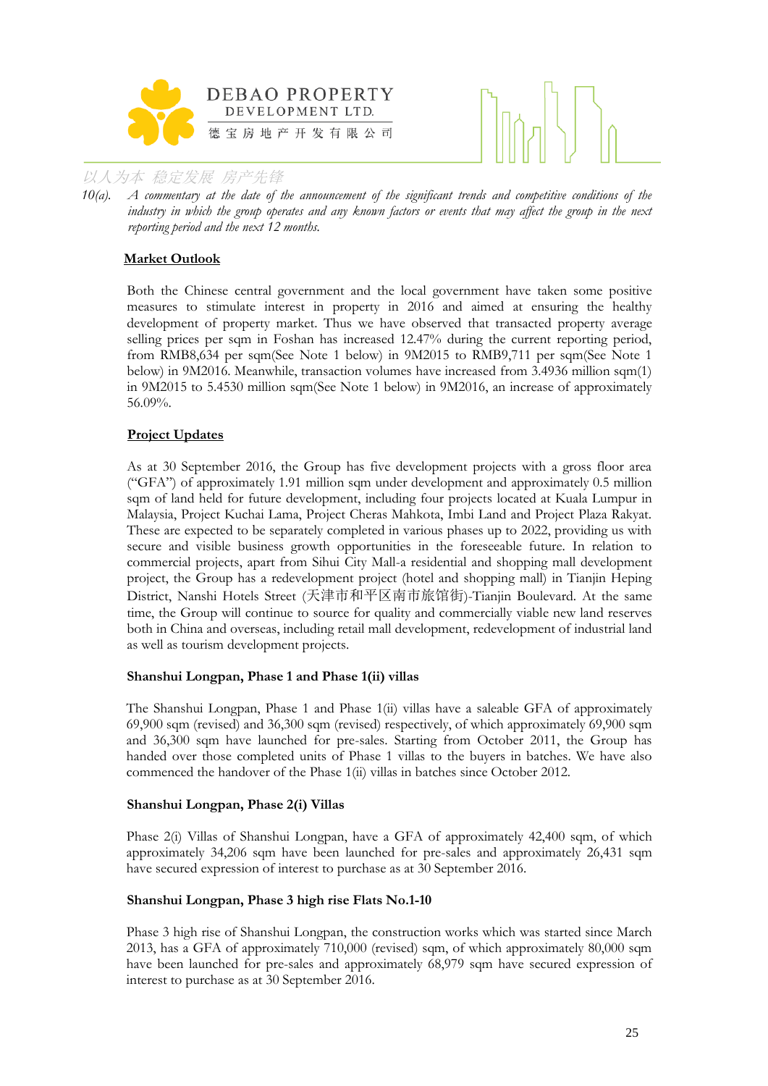



*10(a). A commentary at the date of the announcement of the significant trends and competitive conditions of the industry in which the group operates and any known factors or events that may affect the group in the next reporting period and the next 12 months.*

### **Market Outlook**

Both the Chinese central government and the local government have taken some positive measures to stimulate interest in property in 2016 and aimed at ensuring the healthy development of property market. Thus we have observed that transacted property average selling prices per sqm in Foshan has increased 12.47% during the current reporting period, from RMB8,634 per sqm(See Note 1 below) in 9M2015 to RMB9,711 per sqm(See Note 1 below) in 9M2016. Meanwhile, transaction volumes have increased from 3.4936 million sqm(1) in 9M2015 to 5.4530 million sqm(See Note 1 below) in 9M2016, an increase of approximately 56.09%.

### **Project Updates**

As at 30 September 2016, the Group has five development projects with a gross floor area ("GFA") of approximately 1.91 million sqm under development and approximately 0.5 million sqm of land held for future development, including four projects located at Kuala Lumpur in Malaysia, Project Kuchai Lama, Project Cheras Mahkota, Imbi Land and Project Plaza Rakyat. These are expected to be separately completed in various phases up to 2022, providing us with secure and visible business growth opportunities in the foreseeable future. In relation to commercial projects, apart from Sihui City Mall-a residential and shopping mall development project, the Group has a redevelopment project (hotel and shopping mall) in Tianjin Heping District, Nanshi Hotels Street (天津市和平区南市旅馆街)-Tianjin Boulevard. At the same time, the Group will continue to source for quality and commercially viable new land reserves both in China and overseas, including retail mall development, redevelopment of industrial land as well as tourism development projects.

### **Shanshui Longpan, Phase 1 and Phase 1(ii) villas**

The Shanshui Longpan, Phase 1 and Phase 1(ii) villas have a saleable GFA of approximately 69,900 sqm (revised) and 36,300 sqm (revised) respectively, of which approximately 69,900 sqm and 36,300 sqm have launched for pre-sales. Starting from October 2011, the Group has handed over those completed units of Phase 1 villas to the buyers in batches. We have also commenced the handover of the Phase 1(ii) villas in batches since October 2012.

### **Shanshui Longpan, Phase 2(i) Villas**

Phase 2(i) Villas of Shanshui Longpan, have a GFA of approximately 42,400 sqm, of which approximately 34,206 sqm have been launched for pre-sales and approximately 26,431 sqm have secured expression of interest to purchase as at 30 September 2016.

### **Shanshui Longpan, Phase 3 high rise Flats No.1-10**

Phase 3 high rise of Shanshui Longpan, the construction works which was started since March 2013, has a GFA of approximately 710,000 (revised) sqm, of which approximately 80,000 sqm have been launched for pre-sales and approximately 68,979 sqm have secured expression of interest to purchase as at 30 September 2016.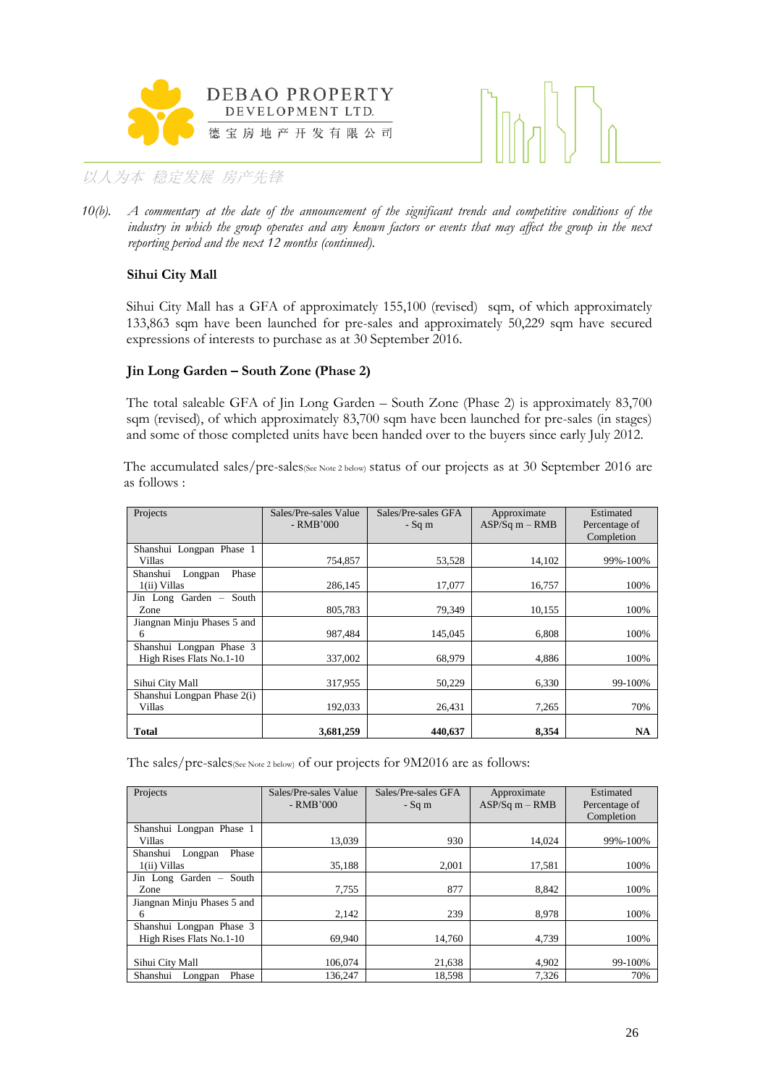



*10(b). A commentary at the date of the announcement of the significant trends and competitive conditions of the industry in which the group operates and any known factors or events that may affect the group in the next reporting period and the next 12 months (continued).*

### **Sihui City Mall**

Sihui City Mall has a GFA of approximately 155,100 (revised) sqm, of which approximately 133,863 sqm have been launched for pre-sales and approximately 50,229 sqm have secured expressions of interests to purchase as at 30 September 2016.

### **Jin Long Garden – South Zone (Phase 2)**

The total saleable GFA of Jin Long Garden – South Zone (Phase 2) is approximately 83,700 sqm (revised), of which approximately 83,700 sqm have been launched for pre-sales (in stages) and some of those completed units have been handed over to the buyers since early July 2012.

The accumulated sales/pre-sales(See Note 2 below) status of our projects as at 30 September 2016 are as follows :

| Projects                                             | Sales/Pre-sales Value<br>- RMB'000 | Sales/Pre-sales GFA<br>$-Sq$ m | Approximate<br>$ASP/Sq m - RMB$ | Estimated<br>Percentage of<br>Completion |
|------------------------------------------------------|------------------------------------|--------------------------------|---------------------------------|------------------------------------------|
| Shanshui Longpan Phase 1<br>Villas                   | 754.857                            | 53,528                         | 14,102                          | 99%-100%                                 |
| Phase<br>Shanshui<br>Longpan<br>1(ii) Villas         | 286,145                            | 17,077                         | 16,757                          | 100%                                     |
| Jin Long Garden - South<br>Zone                      | 805,783                            | 79,349                         | 10,155                          | 100%                                     |
| Jiangnan Minju Phases 5 and<br>6                     | 987,484                            | 145,045                        | 6,808                           | 100%                                     |
| Shanshui Longpan Phase 3<br>High Rises Flats No.1-10 | 337,002                            | 68,979                         | 4.886                           | 100%                                     |
| Sihui City Mall                                      | 317,955                            | 50,229                         | 6,330                           | 99-100%                                  |
| Shanshui Longpan Phase 2(i)<br>Villas                | 192,033                            | 26,431                         | 7,265                           | 70%                                      |
| Total                                                | 3,681,259                          | 440,637                        | 8.354                           | NA                                       |

The sales/pre-sales(See Note 2 below) of our projects for 9M2016 are as follows:

| Projects                                             | Sales/Pre-sales Value<br>$-RMB'000$ | Sales/Pre-sales GFA<br>$-Sq$ m | Approximate<br>$ASP/Sq m - RMB$ | Estimated<br>Percentage of<br>Completion |
|------------------------------------------------------|-------------------------------------|--------------------------------|---------------------------------|------------------------------------------|
| Shanshui Longpan Phase 1<br>Villas                   | 13.039                              | 930                            | 14.024                          | 99%-100%                                 |
| Shanshui<br>Phase<br>Longpan<br>1(ii) Villas         | 35,188                              | 2.001                          | 17,581                          | 100%                                     |
| Jin Long Garden - South<br>Zone                      | 7,755                               | 877                            | 8.842                           | 100%                                     |
| Jiangnan Minju Phases 5 and<br>6                     | 2,142                               | 239                            | 8,978                           | 100%                                     |
| Shanshui Longpan Phase 3<br>High Rises Flats No.1-10 | 69.940                              | 14,760                         | 4,739                           | 100%                                     |
| Sihui City Mall<br>Shanshui<br>Phase<br>Longpan      | 106,074<br>136,247                  | 21,638<br>18,598               | 4.902<br>7,326                  | 99-100%<br>70%                           |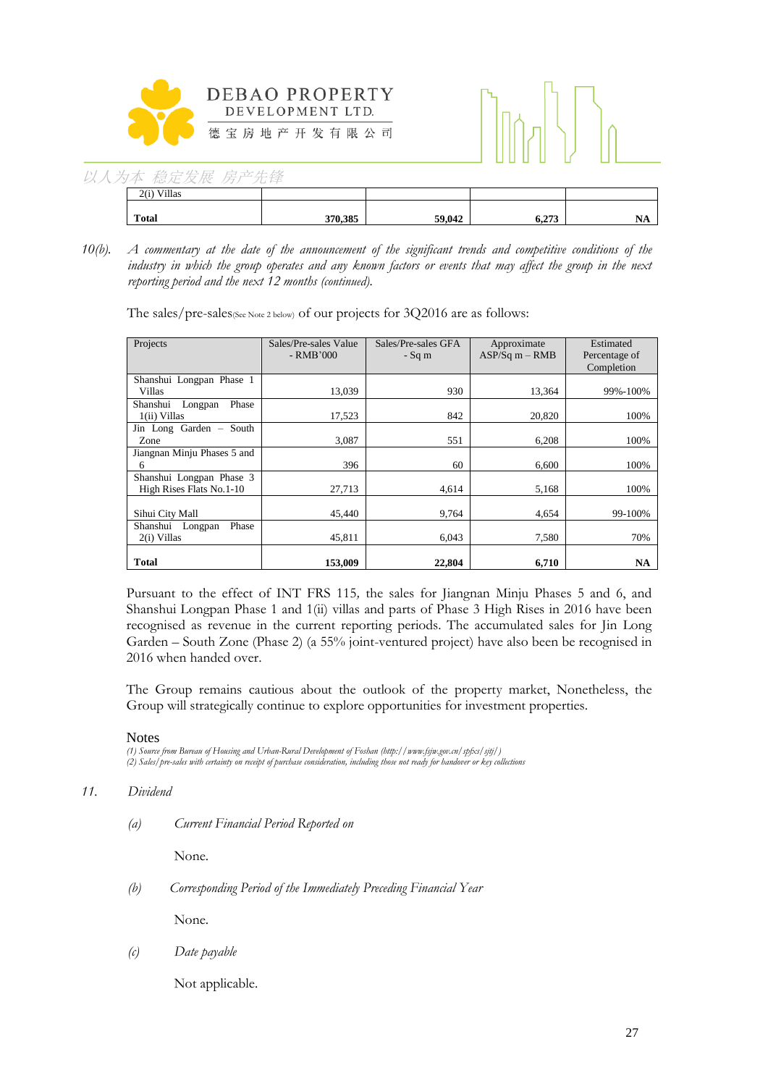

| 以人为本 稳定发展 房产先锋 |  |
|----------------|--|
|----------------|--|

| Villas<br>2(i) |         |        |       |            |
|----------------|---------|--------|-------|------------|
| <b>Total</b>   | 370.385 | 59,042 | 6.273 | NL<br>14TT |

*10(b). A commentary at the date of the announcement of the significant trends and competitive conditions of the industry in which the group operates and any known factors or events that may affect the group in the next reporting period and the next 12 months (continued).*

The sales/pre-sales(See Note 2 below) of our projects for 3Q2016 are as follows:

| Projects                                             | Sales/Pre-sales Value<br>$-RMB'000$ | Sales/Pre-sales GFA<br>$-Sq$ m | Approximate<br>$ASP/Sq m - RMB$ | Estimated<br>Percentage of<br>Completion |
|------------------------------------------------------|-------------------------------------|--------------------------------|---------------------------------|------------------------------------------|
| Shanshui Longpan Phase 1<br>Villas                   | 13,039                              | 930                            | 13,364                          | 99%-100%                                 |
| Phase<br>Shanshui<br>Longpan<br>1(ii) Villas         | 17,523                              | 842                            | 20,820                          | 100%                                     |
| Jin Long Garden - South<br>Zone                      | 3.087                               | 551                            | 6,208                           | 100%                                     |
| Jiangnan Minju Phases 5 and<br>6                     | 396                                 | 60                             | 6,600                           | 100%                                     |
| Shanshui Longpan Phase 3<br>High Rises Flats No.1-10 | 27,713                              | 4,614                          | 5,168                           | 100%                                     |
| Sihui City Mall                                      | 45,440                              | 9.764                          | 4.654                           | 99-100%                                  |
| Phase<br>Shanshui Longpan<br>2(i) Villas             | 45,811                              | 6,043                          | 7,580                           | 70%                                      |
| <b>Total</b>                                         | 153,009                             | 22,804                         | 6,710                           | NA                                       |

Pursuant to the effect of INT FRS 115*,* the sales for Jiangnan Minju Phases 5 and 6, and Shanshui Longpan Phase 1 and 1(ii) villas and parts of Phase 3 High Rises in 2016 have been recognised as revenue in the current reporting periods. The accumulated sales for Jin Long Garden – South Zone (Phase 2) (a 55% joint-ventured project) have also been be recognised in 2016 when handed over.

The Group remains cautious about the outlook of the property market, Nonetheless, the Group will strategically continue to explore opportunities for investment properties.

### **Notes**

*(1) Source from Bureau of Housing and Urban-Rural Development of Foshan (http://www.fsjw.gov.cn/spfxs/sjtj/) (2) Sales/pre-sales with certainty on receipt of purchase consideration, including those not ready for handover or key collections*

### *11. Dividend*

*(a) Current Financial Period Reported on*

None.

*(b) Corresponding Period of the Immediately Preceding Financial Year*

None.

*(c) Date payable*

Not applicable.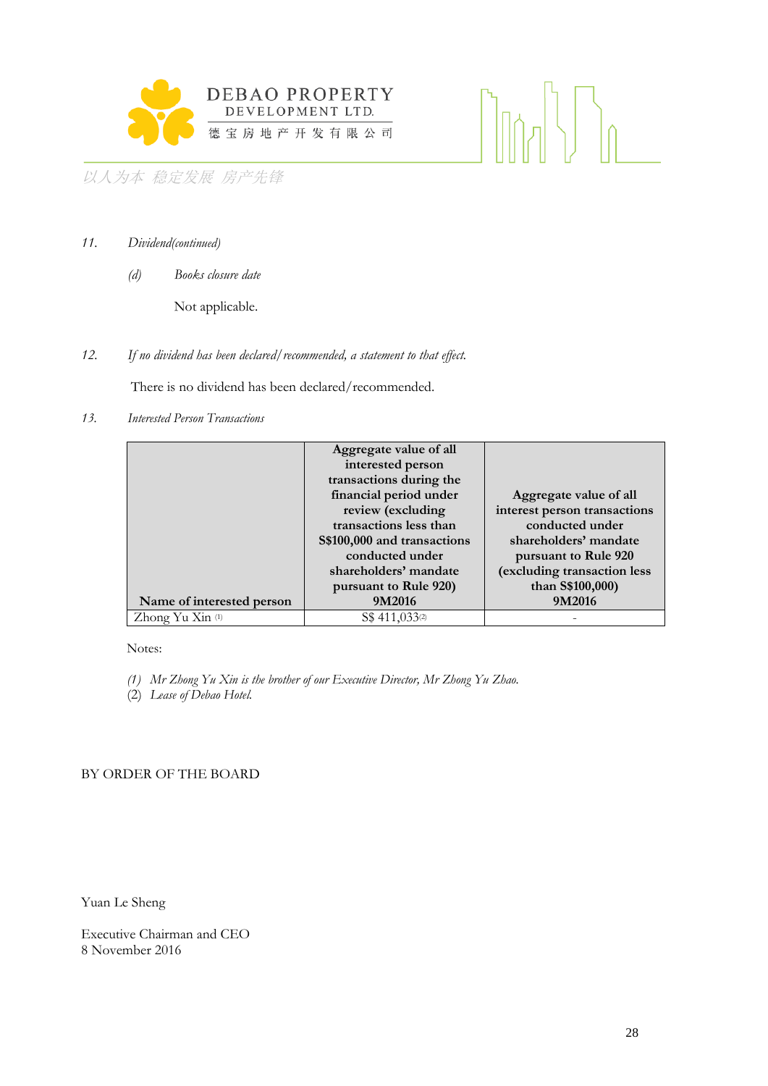

 $\langle |\rangle_{0}$ 

以人为本 稳定发展 房产先锋

- *11. Dividend(continued)*
	- *(d) Books closure date*

Not applicable.

*12. If no dividend has been declared/recommended, a statement to that effect.*

There is no dividend has been declared/recommended.

*13. Interested Person Transactions*

|                           | Aggregate value of all      |                              |
|---------------------------|-----------------------------|------------------------------|
|                           | interested person           |                              |
|                           | transactions during the     |                              |
|                           | financial period under      | Aggregate value of all       |
|                           | review (excluding           | interest person transactions |
|                           | transactions less than      | conducted under              |
|                           | S\$100,000 and transactions | shareholders' mandate        |
|                           | conducted under             | pursuant to Rule 920         |
|                           | shareholders' mandate       | (excluding transaction less  |
|                           | pursuant to Rule 920)       | than S\$100,000)             |
| Name of interested person | 9M2016                      | 9M2016                       |
| Zhong Yu Xin (1)          | S\$ 411,033 <sup>(2)</sup>  |                              |

Notes:

- *(1) Mr Zhong Yu Xin is the brother of our Executive Director, Mr Zhong Yu Zhao.*
- (2) *Lease of Debao Hotel.*

### BY ORDER OF THE BOARD

Yuan Le Sheng

Executive Chairman and CEO 8 November 2016